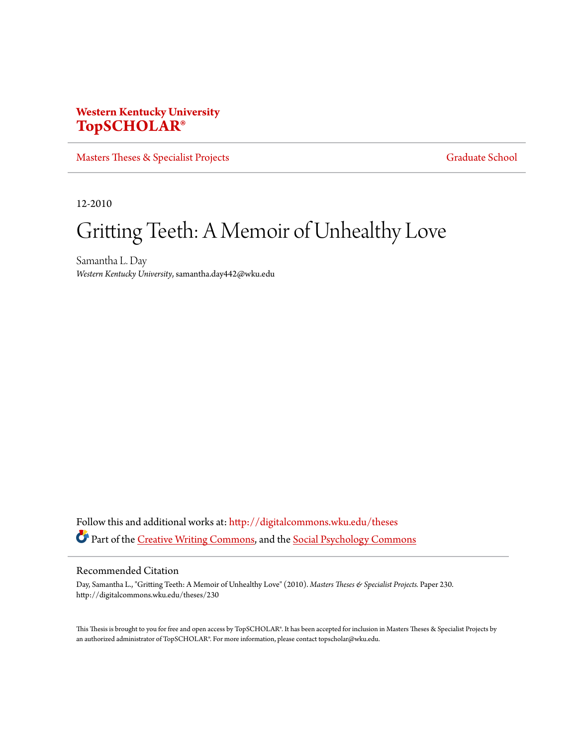# **Western Kentucky University [TopSCHOLAR®](http://digitalcommons.wku.edu?utm_source=digitalcommons.wku.edu%2Ftheses%2F230&utm_medium=PDF&utm_campaign=PDFCoverPages)**

[Masters Theses & Specialist Projects](http://digitalcommons.wku.edu/theses?utm_source=digitalcommons.wku.edu%2Ftheses%2F230&utm_medium=PDF&utm_campaign=PDFCoverPages) [Graduate School](http://digitalcommons.wku.edu/Graduate?utm_source=digitalcommons.wku.edu%2Ftheses%2F230&utm_medium=PDF&utm_campaign=PDFCoverPages) Graduate School

12-2010

# Gritting Teeth: A Memoir of Unhealthy Love

Samantha L. Day *Western Kentucky University*, samantha.day442@wku.edu

Follow this and additional works at: [http://digitalcommons.wku.edu/theses](http://digitalcommons.wku.edu/theses?utm_source=digitalcommons.wku.edu%2Ftheses%2F230&utm_medium=PDF&utm_campaign=PDFCoverPages) Part of the [Creative Writing Commons](http://network.bepress.com/hgg/discipline/574?utm_source=digitalcommons.wku.edu%2Ftheses%2F230&utm_medium=PDF&utm_campaign=PDFCoverPages), and the [Social Psychology Commons](http://network.bepress.com/hgg/discipline/414?utm_source=digitalcommons.wku.edu%2Ftheses%2F230&utm_medium=PDF&utm_campaign=PDFCoverPages)

#### Recommended Citation

Day, Samantha L., "Gritting Teeth: A Memoir of Unhealthy Love" (2010). *Masters Theses & Specialist Projects.* Paper 230. http://digitalcommons.wku.edu/theses/230

This Thesis is brought to you for free and open access by TopSCHOLAR®. It has been accepted for inclusion in Masters Theses & Specialist Projects by an authorized administrator of TopSCHOLAR®. For more information, please contact topscholar@wku.edu.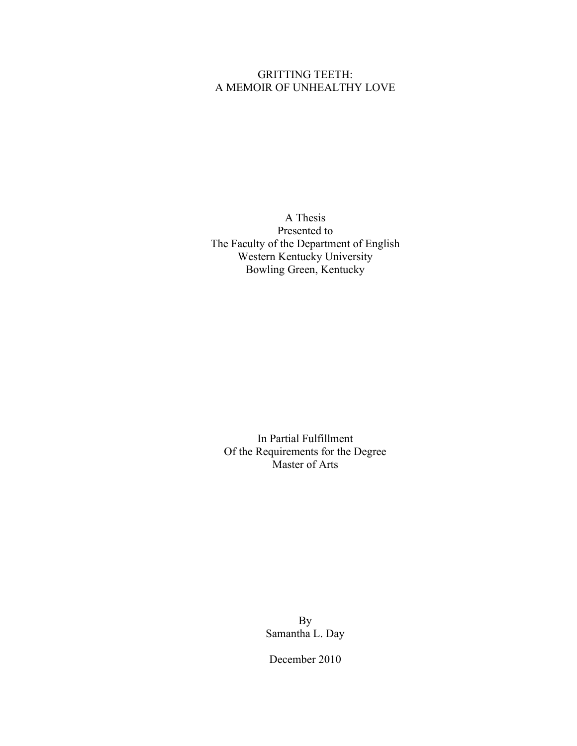## GRITTING TEETH: A MEMOIR OF UNHEALTHY LOVE

A Thesis Presented to The Faculty of the Department of English Western Kentucky University Bowling Green, Kentucky

In Partial Fulfillment Of the Requirements for the Degree Master of Arts

> By Samantha L. Day

December 2010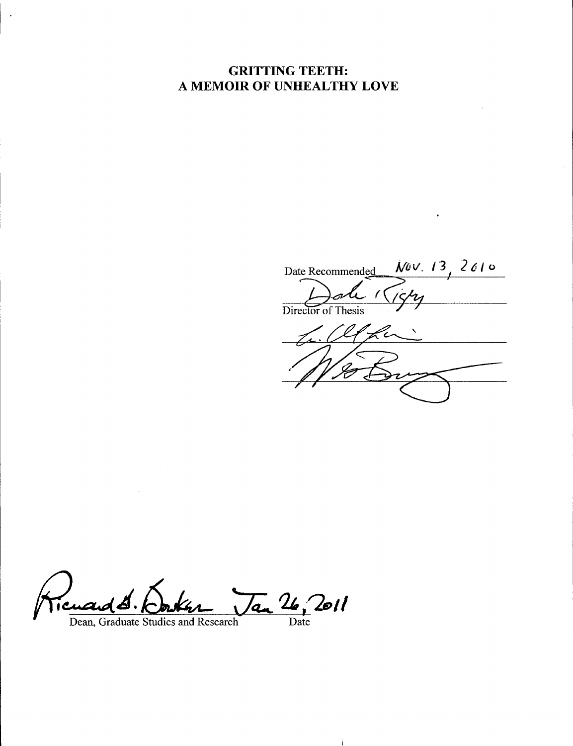# **GRITTING TEETH: A MEMOIR OF UNHEALTHY LOVE**

 $\frac{13}{1}$ Date Recommended *Nov*.<br>Director of Thesis حمج

*Peucad* 5. Conten Jan 26, 2011

Dean, Graduate Studies and Research

 $\frac{1}{2}$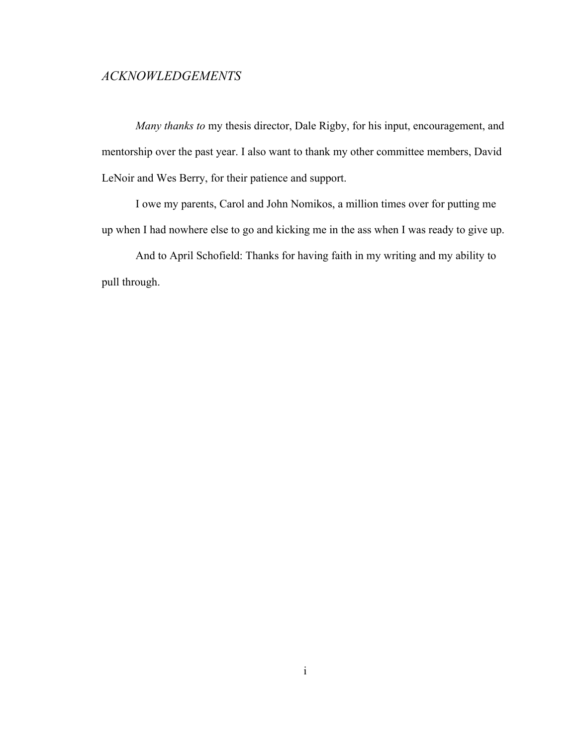### *ACKNOWLEDGEMENTS*

*Many thanks to* my thesis director, Dale Rigby, for his input, encouragement, and mentorship over the past year. I also want to thank my other committee members, David LeNoir and Wes Berry, for their patience and support.

I owe my parents, Carol and John Nomikos, a million times over for putting me up when I had nowhere else to go and kicking me in the ass when I was ready to give up.

And to April Schofield: Thanks for having faith in my writing and my ability to pull through.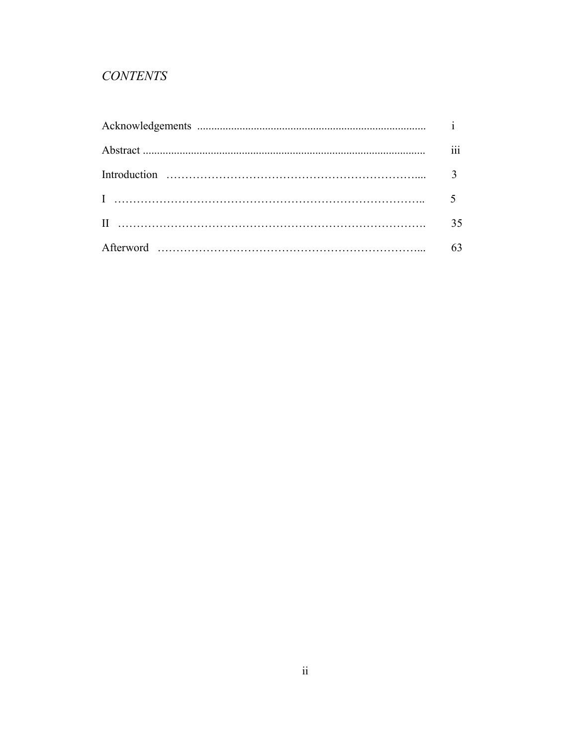# **CONTENTS**

|                                                                                                                                                              | $\cdots$<br>111 |
|--------------------------------------------------------------------------------------------------------------------------------------------------------------|-----------------|
| Introduction $\ldots$ $\ldots$ $\ldots$ $\ldots$ $\ldots$ $\ldots$ $\ldots$ $\ldots$ $\ldots$ $\ldots$ $\ldots$ $\ldots$ $\ldots$ $\ldots$ $\ldots$ $\ldots$ |                 |
|                                                                                                                                                              |                 |
|                                                                                                                                                              | 35              |
|                                                                                                                                                              | 63              |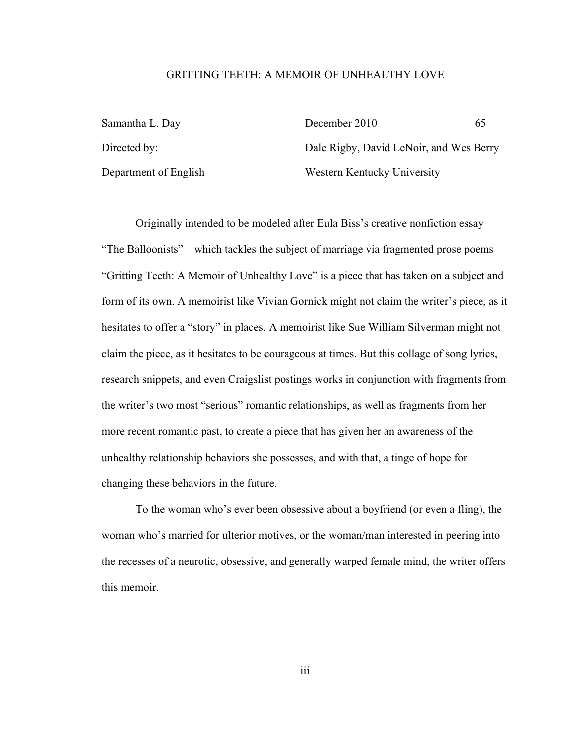#### GRITTING TEETH: A MEMOIR OF UNHEALTHY LOVE

| Samantha L. Day       | December 2010                           | 65 |
|-----------------------|-----------------------------------------|----|
| Directed by:          | Dale Rigby, David LeNoir, and Wes Berry |    |
| Department of English | Western Kentucky University             |    |

Originally intended to be modeled after Eula Biss's creative nonfiction essay "The Balloonists"—which tackles the subject of marriage via fragmented prose poems— "Gritting Teeth: A Memoir of Unhealthy Love" is a piece that has taken on a subject and form of its own. A memoirist like Vivian Gornick might not claim the writer's piece, as it hesitates to offer a "story" in places. A memoirist like Sue William Silverman might not claim the piece, as it hesitates to be courageous at times. But this collage of song lyrics, research snippets, and even Craigslist postings works in conjunction with fragments from the writer's two most "serious" romantic relationships, as well as fragments from her more recent romantic past, to create a piece that has given her an awareness of the unhealthy relationship behaviors she possesses, and with that, a tinge of hope for changing these behaviors in the future.

To the woman who's ever been obsessive about a boyfriend (or even a fling), the woman who's married for ulterior motives, or the woman/man interested in peering into the recesses of a neurotic, obsessive, and generally warped female mind, the writer offers this memoir.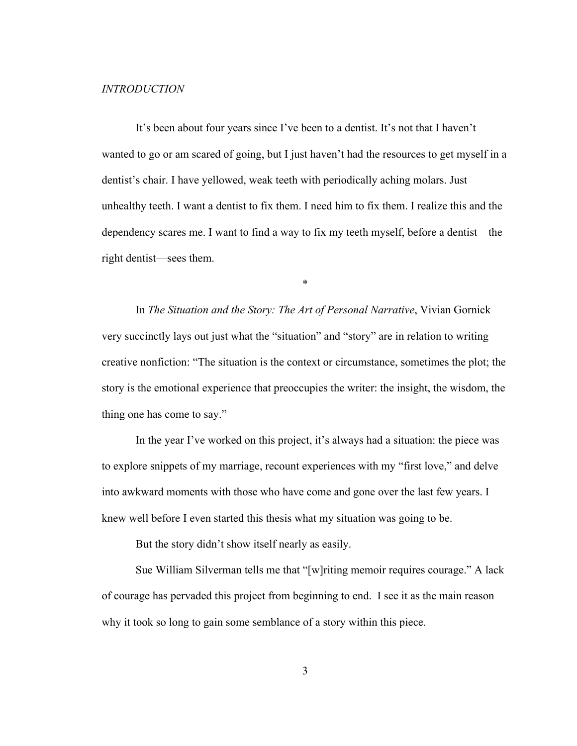#### *INTRODUCTION*

It's been about four years since I've been to a dentist. It's not that I haven't wanted to go or am scared of going, but I just haven't had the resources to get myself in a dentist's chair. I have yellowed, weak teeth with periodically aching molars. Just unhealthy teeth. I want a dentist to fix them. I need him to fix them. I realize this and the dependency scares me. I want to find a way to fix my teeth myself, before a dentist—the right dentist—sees them.

In *The Situation and the Story: The Art of Personal Narrative*, Vivian Gornick very succinctly lays out just what the "situation" and "story" are in relation to writing creative nonfiction: "The situation is the context or circumstance, sometimes the plot; the story is the emotional experience that preoccupies the writer: the insight, the wisdom, the thing one has come to say."

\*

In the year I've worked on this project, it's always had a situation: the piece was to explore snippets of my marriage, recount experiences with my "first love," and delve into awkward moments with those who have come and gone over the last few years. I knew well before I even started this thesis what my situation was going to be.

But the story didn't show itself nearly as easily.

Sue William Silverman tells me that "[w]riting memoir requires courage." A lack of courage has pervaded this project from beginning to end. I see it as the main reason why it took so long to gain some semblance of a story within this piece.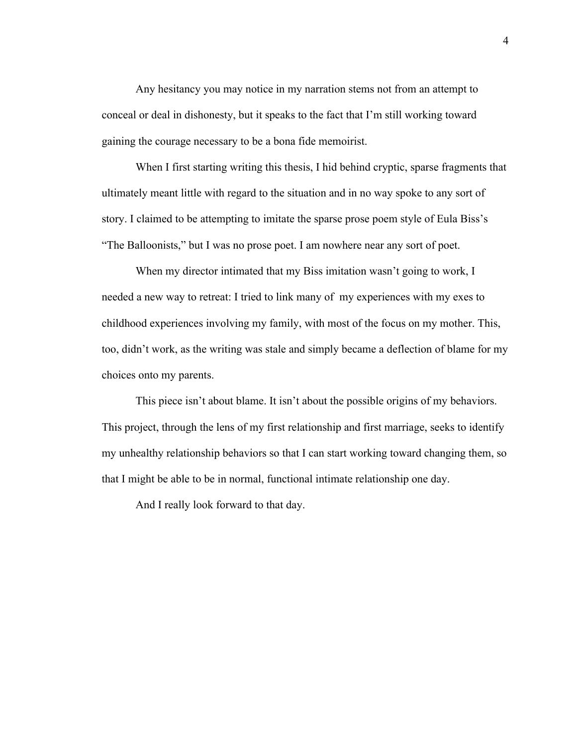Any hesitancy you may notice in my narration stems not from an attempt to conceal or deal in dishonesty, but it speaks to the fact that I'm still working toward gaining the courage necessary to be a bona fide memoirist.

When I first starting writing this thesis, I hid behind cryptic, sparse fragments that ultimately meant little with regard to the situation and in no way spoke to any sort of story. I claimed to be attempting to imitate the sparse prose poem style of Eula Biss's "The Balloonists," but I was no prose poet. I am nowhere near any sort of poet.

When my director intimated that my Biss imitation wasn't going to work, I needed a new way to retreat: I tried to link many of my experiences with my exes to childhood experiences involving my family, with most of the focus on my mother. This, too, didn't work, as the writing was stale and simply became a deflection of blame for my choices onto my parents.

This piece isn't about blame. It isn't about the possible origins of my behaviors. This project, through the lens of my first relationship and first marriage, seeks to identify my unhealthy relationship behaviors so that I can start working toward changing them, so that I might be able to be in normal, functional intimate relationship one day.

And I really look forward to that day.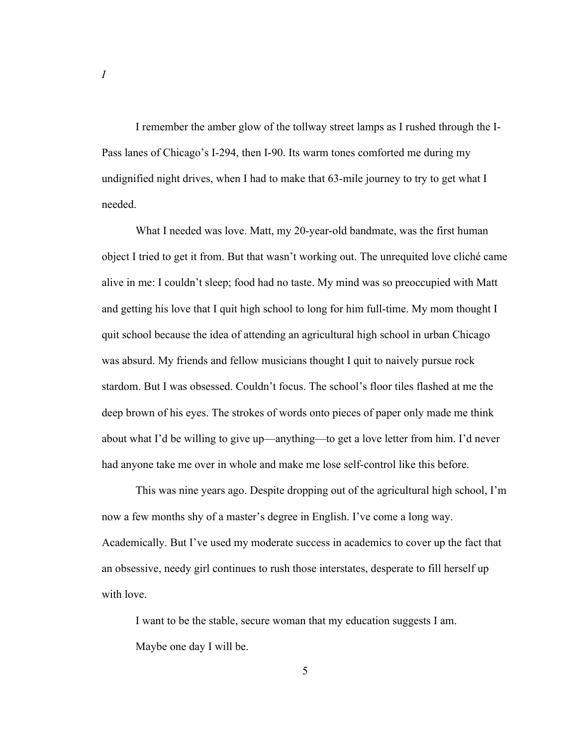I remember the amber glow of the tollway street lamps as I rushed through the I-Pass lanes of Chicago's I-294, then I-90. Its warm tones comforted me during my undignified night drives, when I had to make that 63-mile journey to try to get what I needed.

What I needed was love. Matt, my 20-year-old bandmate, was the first human object I tried to get it from. But that wasn't working out. The unrequited love cliché came alive in me: I couldn't sleep; food had no taste. My mind was so preoccupied with Matt and getting his love that I quit high school to long for him full-time. My mom thought I quit school because the idea of attending an agricultural high school in urban Chicago was absurd. My friends and fellow musicians thought I quit to naively pursue rock stardom. But I was obsessed. Couldn't focus. The school's floor tiles flashed at me the deep brown of his eyes. The strokes of words onto pieces of paper only made me think about what I'd be willing to give up—anything—to get a love letter from him. I'd never had anyone take me over in whole and make me lose self-control like this before.

This was nine years ago. Despite dropping out of the agricultural high school, I'm now a few months shy of a master's degree in English. I've come a long way. Academically. But I've used my moderate success in academics to cover up the fact that an obsessive, needy girl continues to rush those interstates, desperate to fill herself up with love.

I want to be the stable, secure woman that my education suggests I am. Maybe one day I will be.

*I*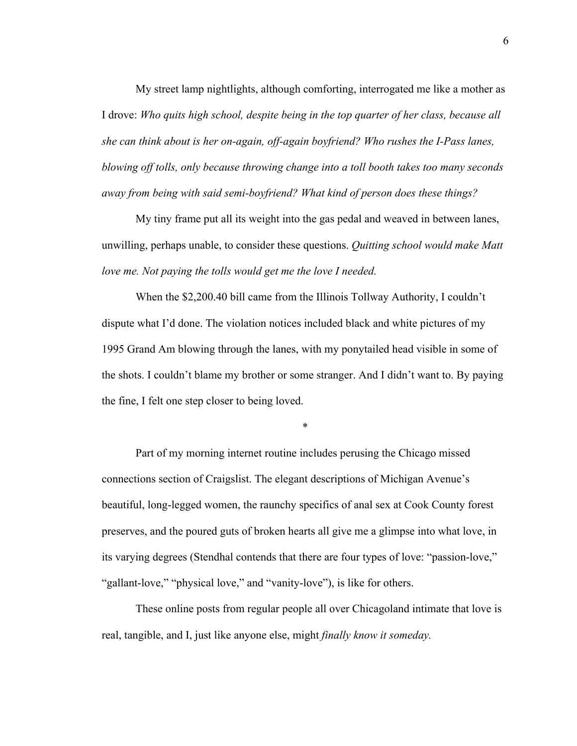My street lamp nightlights, although comforting, interrogated me like a mother as I drove: *Who quits high school, despite being in the top quarter of her class, because all she can think about is her on-again, off-again boyfriend? Who rushes the I-Pass lanes, blowing off tolls, only because throwing change into a toll booth takes too many seconds away from being with said semi-boyfriend? What kind of person does these things?*

My tiny frame put all its weight into the gas pedal and weaved in between lanes, unwilling, perhaps unable, to consider these questions. *Quitting school would make Matt love me. Not paying the tolls would get me the love I needed.*

When the \$2,200.40 bill came from the Illinois Tollway Authority, I couldn't dispute what I'd done. The violation notices included black and white pictures of my 1995 Grand Am blowing through the lanes, with my ponytailed head visible in some of the shots. I couldn't blame my brother or some stranger. And I didn't want to. By paying the fine, I felt one step closer to being loved.

\*

Part of my morning internet routine includes perusing the Chicago missed connections section of Craigslist. The elegant descriptions of Michigan Avenue's beautiful, long-legged women, the raunchy specifics of anal sex at Cook County forest preserves, and the poured guts of broken hearts all give me a glimpse into what love, in its varying degrees (Stendhal contends that there are four types of love: "passion-love," "gallant-love," "physical love," and "vanity-love"), is like for others.

These online posts from regular people all over Chicagoland intimate that love is real, tangible, and I, just like anyone else, might *finally know it someday.*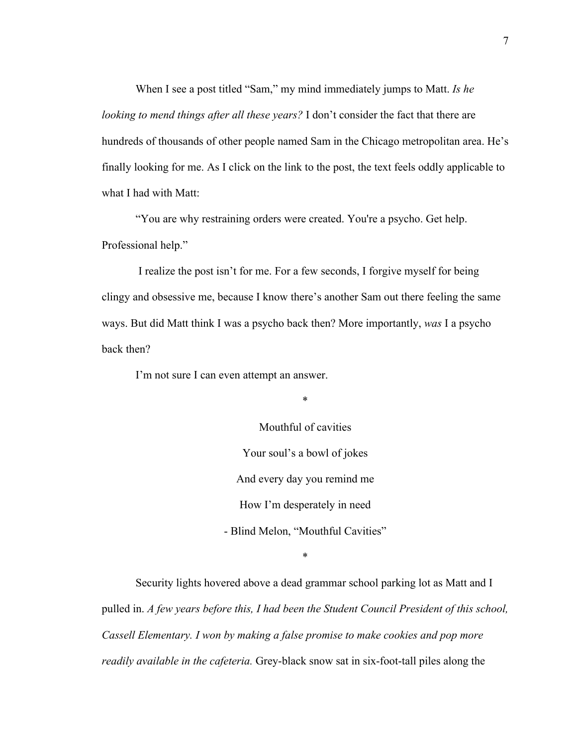When I see a post titled "Sam," my mind immediately jumps to Matt. *Is he looking to mend things after all these years?* I don't consider the fact that there are hundreds of thousands of other people named Sam in the Chicago metropolitan area. He's finally looking for me. As I click on the link to the post, the text feels oddly applicable to what I had with Matt:

"You are why restraining orders were created. You're a psycho. Get help. Professional help."

I realize the post isn't for me. For a few seconds, I forgive myself for being clingy and obsessive me, because I know there's another Sam out there feeling the same ways. But did Matt think I was a psycho back then? More importantly, *was* I a psycho back then?

I'm not sure I can even attempt an answer.

Mouthful of cavities Your soul's a bowl of jokes And every day you remind me How I'm desperately in need - Blind Melon, "Mouthful Cavities"

\*

\*

Security lights hovered above a dead grammar school parking lot as Matt and I pulled in. *A few years before this, I had been the Student Council President of this school, Cassell Elementary. I won by making a false promise to make cookies and pop more readily available in the cafeteria.* Grey-black snow sat in six-foot-tall piles along the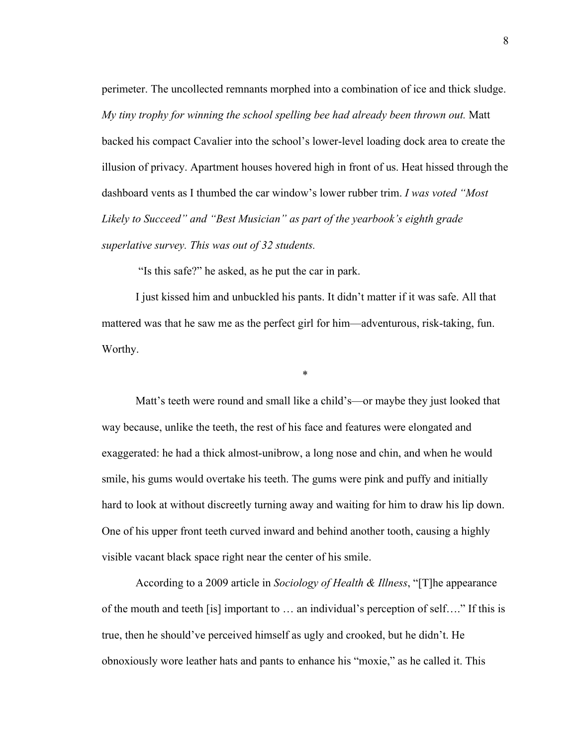perimeter. The uncollected remnants morphed into a combination of ice and thick sludge. *My tiny trophy for winning the school spelling bee had already been thrown out.* Matt backed his compact Cavalier into the school's lower-level loading dock area to create the illusion of privacy. Apartment houses hovered high in front of us. Heat hissed through the dashboard vents as I thumbed the car window's lower rubber trim. *I was voted "Most Likely to Succeed" and "Best Musician" as part of the yearbook's eighth grade superlative survey. This was out of 32 students.*

"Is this safe?" he asked, as he put the car in park.

I just kissed him and unbuckled his pants. It didn't matter if it was safe. All that mattered was that he saw me as the perfect girl for him—adventurous, risk-taking, fun. Worthy.

\*

Matt's teeth were round and small like a child's—or maybe they just looked that way because, unlike the teeth, the rest of his face and features were elongated and exaggerated: he had a thick almost-unibrow, a long nose and chin, and when he would smile, his gums would overtake his teeth. The gums were pink and puffy and initially hard to look at without discreetly turning away and waiting for him to draw his lip down. One of his upper front teeth curved inward and behind another tooth, causing a highly visible vacant black space right near the center of his smile.

According to a 2009 article in *Sociology of Health & Illness*, "[T]he appearance of the mouth and teeth [is] important to … an individual's perception of self…." If this is true, then he should've perceived himself as ugly and crooked, but he didn't. He obnoxiously wore leather hats and pants to enhance his "moxie," as he called it. This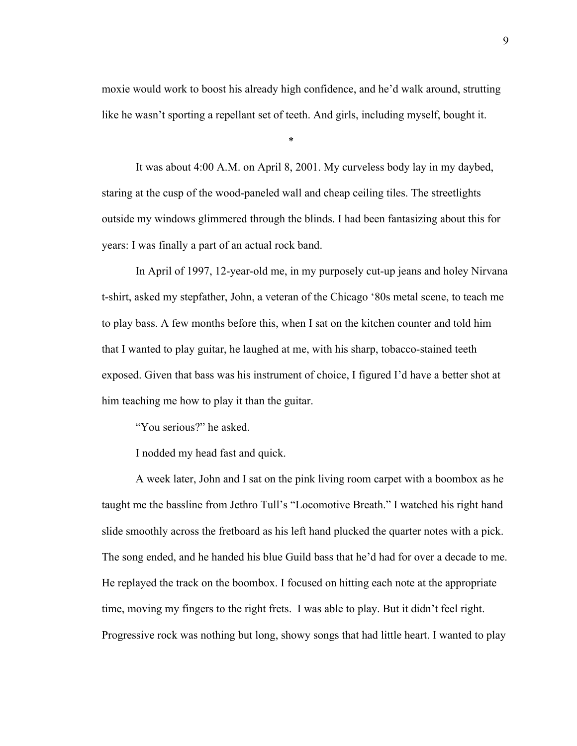moxie would work to boost his already high confidence, and he'd walk around, strutting like he wasn't sporting a repellant set of teeth. And girls, including myself, bought it.

\*

It was about 4:00 A.M. on April 8, 2001. My curveless body lay in my daybed, staring at the cusp of the wood-paneled wall and cheap ceiling tiles. The streetlights outside my windows glimmered through the blinds. I had been fantasizing about this for years: I was finally a part of an actual rock band.

In April of 1997, 12-year-old me, in my purposely cut-up jeans and holey Nirvana t-shirt, asked my stepfather, John, a veteran of the Chicago '80s metal scene, to teach me to play bass. A few months before this, when I sat on the kitchen counter and told him that I wanted to play guitar, he laughed at me, with his sharp, tobacco-stained teeth exposed. Given that bass was his instrument of choice, I figured I'd have a better shot at him teaching me how to play it than the guitar.

"You serious?" he asked.

I nodded my head fast and quick.

A week later, John and I sat on the pink living room carpet with a boombox as he taught me the bassline from Jethro Tull's "Locomotive Breath." I watched his right hand slide smoothly across the fretboard as his left hand plucked the quarter notes with a pick. The song ended, and he handed his blue Guild bass that he'd had for over a decade to me. He replayed the track on the boombox. I focused on hitting each note at the appropriate time, moving my fingers to the right frets. I was able to play. But it didn't feel right. Progressive rock was nothing but long, showy songs that had little heart. I wanted to play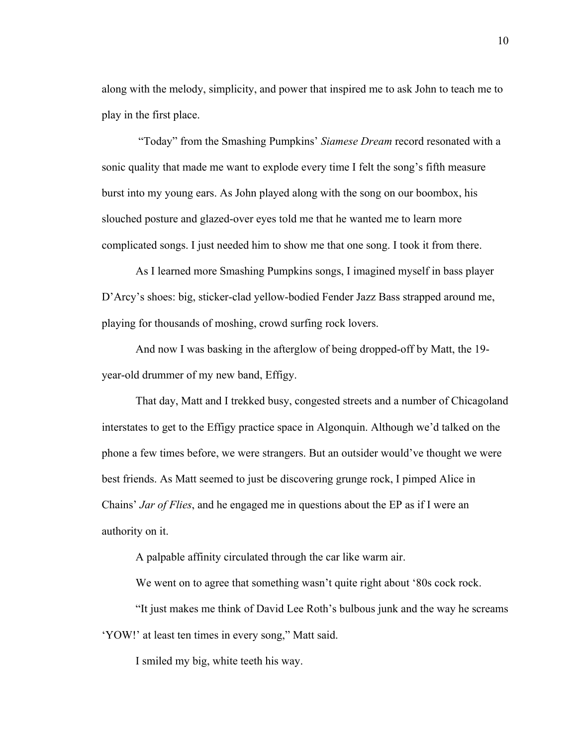along with the melody, simplicity, and power that inspired me to ask John to teach me to play in the first place.

 "Today" from the Smashing Pumpkins' *Siamese Dream* record resonated with a sonic quality that made me want to explode every time I felt the song's fifth measure burst into my young ears. As John played along with the song on our boombox, his slouched posture and glazed-over eyes told me that he wanted me to learn more complicated songs. I just needed him to show me that one song. I took it from there.

As I learned more Smashing Pumpkins songs, I imagined myself in bass player D'Arcy's shoes: big, sticker-clad yellow-bodied Fender Jazz Bass strapped around me, playing for thousands of moshing, crowd surfing rock lovers.

And now I was basking in the afterglow of being dropped-off by Matt, the 19 year-old drummer of my new band, Effigy.

That day, Matt and I trekked busy, congested streets and a number of Chicagoland interstates to get to the Effigy practice space in Algonquin. Although we'd talked on the phone a few times before, we were strangers. But an outsider would've thought we were best friends. As Matt seemed to just be discovering grunge rock, I pimped Alice in Chains' *Jar of Flies*, and he engaged me in questions about the EP as if I were an authority on it.

A palpable affinity circulated through the car like warm air.

We went on to agree that something wasn't quite right about '80s cock rock.

"It just makes me think of David Lee Roth's bulbous junk and the way he screams 'YOW!' at least ten times in every song," Matt said.

I smiled my big, white teeth his way.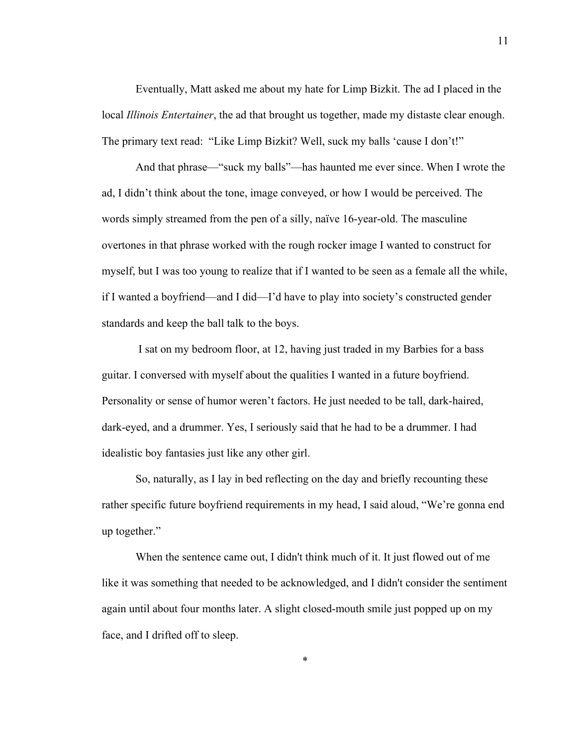Eventually, Matt asked me about my hate for Limp Bizkit. The ad I placed in the local *Illinois Entertainer*, the ad that brought us together, made my distaste clear enough. The primary text read: "Like Limp Bizkit? Well, suck my balls 'cause I don't!"

And that phrase—"suck my balls"—has haunted me ever since. When I wrote the ad, I didn't think about the tone, image conveyed, or how I would be perceived. The words simply streamed from the pen of a silly, naïve 16-year-old. The masculine overtones in that phrase worked with the rough rocker image I wanted to construct for myself, but I was too young to realize that if I wanted to be seen as a female all the while, if I wanted a boyfriend—and I did—I'd have to play into society's constructed gender standards and keep the ball talk to the boys.

I sat on my bedroom floor, at 12, having just traded in my Barbies for a bass guitar. I conversed with myself about the qualities I wanted in a future boyfriend. Personality or sense of humor weren't factors. He just needed to be tall, dark-haired, dark-eyed, and a drummer. Yes, I seriously said that he had to be a drummer. I had idealistic boy fantasies just like any other girl.

So, naturally, as I lay in bed reflecting on the day and briefly recounting these rather specific future boyfriend requirements in my head, I said aloud, "We're gonna end up together."

When the sentence came out, I didn't think much of it. It just flowed out of me like it was something that needed to be acknowledged, and I didn't consider the sentiment again until about four months later. A slight closed-mouth smile just popped up on my face, and I drifted off to sleep.

\*

11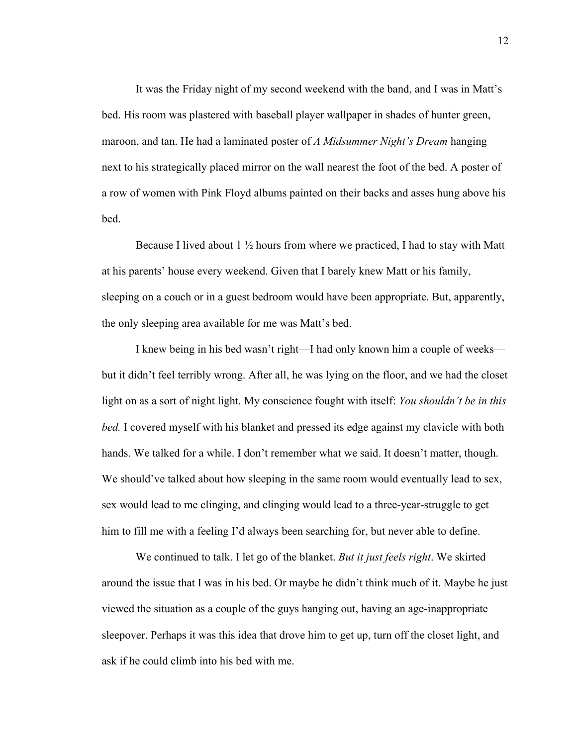It was the Friday night of my second weekend with the band, and I was in Matt's bed. His room was plastered with baseball player wallpaper in shades of hunter green, maroon, and tan. He had a laminated poster of *A Midsummer Night's Dream* hanging next to his strategically placed mirror on the wall nearest the foot of the bed. A poster of a row of women with Pink Floyd albums painted on their backs and asses hung above his bed.

Because I lived about  $1\frac{1}{2}$  hours from where we practiced, I had to stay with Matt at his parents' house every weekend. Given that I barely knew Matt or his family, sleeping on a couch or in a guest bedroom would have been appropriate. But, apparently, the only sleeping area available for me was Matt's bed.

I knew being in his bed wasn't right—I had only known him a couple of weeks but it didn't feel terribly wrong. After all, he was lying on the floor, and we had the closet light on as a sort of night light. My conscience fought with itself: *You shouldn't be in this bed.* I covered myself with his blanket and pressed its edge against my clavicle with both hands. We talked for a while. I don't remember what we said. It doesn't matter, though. We should've talked about how sleeping in the same room would eventually lead to sex, sex would lead to me clinging, and clinging would lead to a three-year-struggle to get him to fill me with a feeling I'd always been searching for, but never able to define.

We continued to talk. I let go of the blanket. *But it just feels right*. We skirted around the issue that I was in his bed. Or maybe he didn't think much of it. Maybe he just viewed the situation as a couple of the guys hanging out, having an age-inappropriate sleepover. Perhaps it was this idea that drove him to get up, turn off the closet light, and ask if he could climb into his bed with me.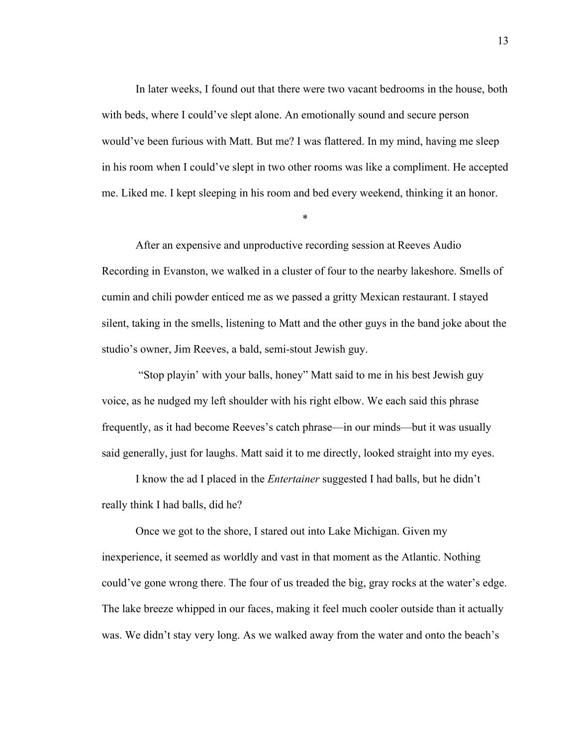In later weeks, I found out that there were two vacant bedrooms in the house, both with beds, where I could've slept alone. An emotionally sound and secure person would've been furious with Matt. But me? I was flattered. In my mind, having me sleep in his room when I could've slept in two other rooms was like a compliment. He accepted me. Liked me. I kept sleeping in his room and bed every weekend, thinking it an honor.

\*

After an expensive and unproductive recording session at Reeves Audio Recording in Evanston, we walked in a cluster of four to the nearby lakeshore. Smells of cumin and chili powder enticed me as we passed a gritty Mexican restaurant. I stayed silent, taking in the smells, listening to Matt and the other guys in the band joke about the studio's owner, Jim Reeves, a bald, semi-stout Jewish guy.

"Stop playin' with your balls, honey" Matt said to me in his best Jewish guy voice, as he nudged my left shoulder with his right elbow. We each said this phrase frequently, as it had become Reeves's catch phrase—in our minds—but it was usually said generally, just for laughs. Matt said it to me directly, looked straight into my eyes.

I know the ad I placed in the *Entertainer* suggested I had balls, but he didn't really think I had balls, did he?

Once we got to the shore, I stared out into Lake Michigan. Given my inexperience, it seemed as worldly and vast in that moment as the Atlantic. Nothing could've gone wrong there. The four of us treaded the big, gray rocks at the water's edge. The lake breeze whipped in our faces, making it feel much cooler outside than it actually was. We didn't stay very long. As we walked away from the water and onto the beach's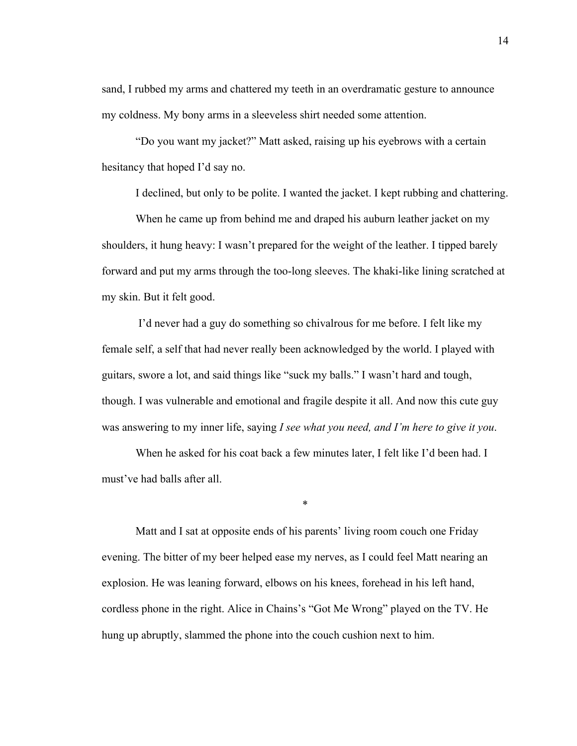sand, I rubbed my arms and chattered my teeth in an overdramatic gesture to announce my coldness. My bony arms in a sleeveless shirt needed some attention.

"Do you want my jacket?" Matt asked, raising up his eyebrows with a certain hesitancy that hoped I'd say no.

I declined, but only to be polite. I wanted the jacket. I kept rubbing and chattering.

When he came up from behind me and draped his auburn leather jacket on my shoulders, it hung heavy: I wasn't prepared for the weight of the leather. I tipped barely forward and put my arms through the too-long sleeves. The khaki-like lining scratched at my skin. But it felt good.

 I'd never had a guy do something so chivalrous for me before. I felt like my female self, a self that had never really been acknowledged by the world. I played with guitars, swore a lot, and said things like "suck my balls." I wasn't hard and tough, though. I was vulnerable and emotional and fragile despite it all. And now this cute guy was answering to my inner life, saying *I see what you need, and I'm here to give it you*.

When he asked for his coat back a few minutes later, I felt like I'd been had. I must've had balls after all.

\*

Matt and I sat at opposite ends of his parents' living room couch one Friday evening. The bitter of my beer helped ease my nerves, as I could feel Matt nearing an explosion. He was leaning forward, elbows on his knees, forehead in his left hand, cordless phone in the right. Alice in Chains's "Got Me Wrong" played on the TV. He hung up abruptly, slammed the phone into the couch cushion next to him.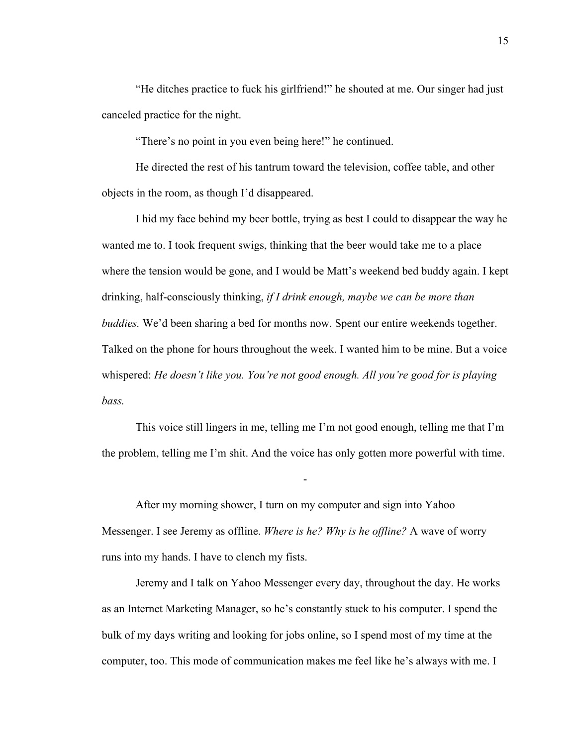"He ditches practice to fuck his girlfriend!" he shouted at me. Our singer had just canceled practice for the night.

"There's no point in you even being here!" he continued.

He directed the rest of his tantrum toward the television, coffee table, and other objects in the room, as though I'd disappeared.

I hid my face behind my beer bottle, trying as best I could to disappear the way he wanted me to. I took frequent swigs, thinking that the beer would take me to a place where the tension would be gone, and I would be Matt's weekend bed buddy again. I kept drinking, half-consciously thinking, *if I drink enough, maybe we can be more than buddies.* We'd been sharing a bed for months now. Spent our entire weekends together. Talked on the phone for hours throughout the week. I wanted him to be mine. But a voice whispered: *He doesn't like you. You're not good enough. All you're good for is playing bass.* 

This voice still lingers in me, telling me I'm not good enough, telling me that I'm the problem, telling me I'm shit. And the voice has only gotten more powerful with time.

-

After my morning shower, I turn on my computer and sign into Yahoo Messenger. I see Jeremy as offline. *Where is he? Why is he offline?* A wave of worry runs into my hands. I have to clench my fists.

Jeremy and I talk on Yahoo Messenger every day, throughout the day. He works as an Internet Marketing Manager, so he's constantly stuck to his computer. I spend the bulk of my days writing and looking for jobs online, so I spend most of my time at the computer, too. This mode of communication makes me feel like he's always with me. I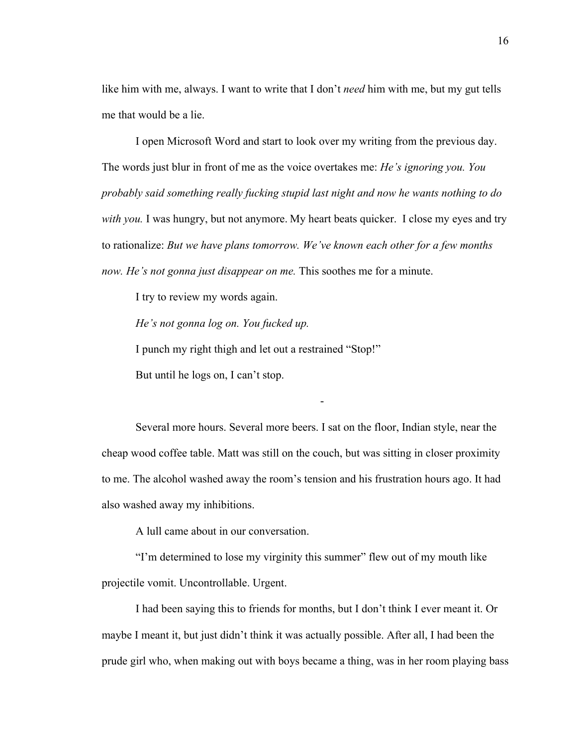like him with me, always. I want to write that I don't *need* him with me, but my gut tells me that would be a lie.

I open Microsoft Word and start to look over my writing from the previous day. The words just blur in front of me as the voice overtakes me: *He's ignoring you. You probably said something really fucking stupid last night and now he wants nothing to do with you.* I was hungry, but not anymore. My heart beats quicker. I close my eyes and try to rationalize: *But we have plans tomorrow. We've known each other for a few months now. He's not gonna just disappear on me.* This soothes me for a minute.

I try to review my words again.

*He's not gonna log on. You fucked up.* I punch my right thigh and let out a restrained "Stop!" But until he logs on, I can't stop.

Several more hours. Several more beers. I sat on the floor, Indian style, near the cheap wood coffee table. Matt was still on the couch, but was sitting in closer proximity to me. The alcohol washed away the room's tension and his frustration hours ago. It had also washed away my inhibitions.

-

A lull came about in our conversation.

"I'm determined to lose my virginity this summer" flew out of my mouth like projectile vomit. Uncontrollable. Urgent.

I had been saying this to friends for months, but I don't think I ever meant it. Or maybe I meant it, but just didn't think it was actually possible. After all, I had been the prude girl who, when making out with boys became a thing, was in her room playing bass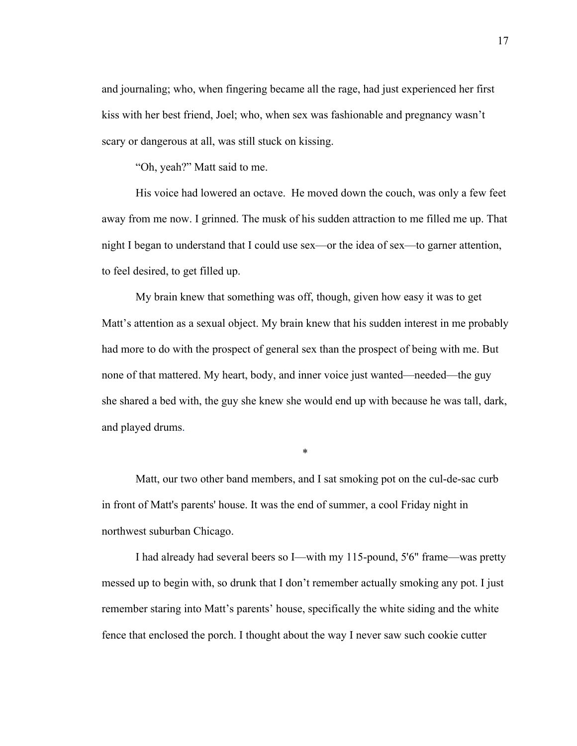and journaling; who, when fingering became all the rage, had just experienced her first kiss with her best friend, Joel; who, when sex was fashionable and pregnancy wasn't scary or dangerous at all, was still stuck on kissing.

"Oh, yeah?" Matt said to me.

His voice had lowered an octave. He moved down the couch, was only a few feet away from me now. I grinned. The musk of his sudden attraction to me filled me up. That night I began to understand that I could use sex—or the idea of sex—to garner attention, to feel desired, to get filled up.

My brain knew that something was off, though, given how easy it was to get Matt's attention as a sexual object. My brain knew that his sudden interest in me probably had more to do with the prospect of general sex than the prospect of being with me. But none of that mattered. My heart, body, and inner voice just wanted—needed—the guy she shared a bed with, the guy she knew she would end up with because he was tall, dark, and played drums.

\*

Matt, our two other band members, and I sat smoking pot on the cul-de-sac curb in front of Matt's parents' house. It was the end of summer, a cool Friday night in northwest suburban Chicago.

I had already had several beers so I—with my 115-pound, 5'6" frame—was pretty messed up to begin with, so drunk that I don't remember actually smoking any pot. I just remember staring into Matt's parents' house, specifically the white siding and the white fence that enclosed the porch. I thought about the way I never saw such cookie cutter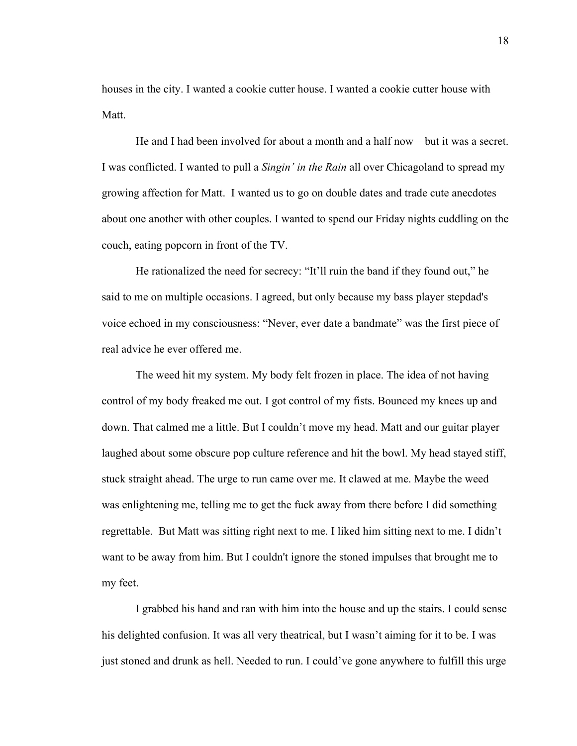houses in the city. I wanted a cookie cutter house. I wanted a cookie cutter house with Matt.

He and I had been involved for about a month and a half now—but it was a secret. I was conflicted. I wanted to pull a *Singin' in the Rain* all over Chicagoland to spread my growing affection for Matt. I wanted us to go on double dates and trade cute anecdotes about one another with other couples. I wanted to spend our Friday nights cuddling on the couch, eating popcorn in front of the TV.

He rationalized the need for secrecy: "It'll ruin the band if they found out," he said to me on multiple occasions. I agreed, but only because my bass player stepdad's voice echoed in my consciousness: "Never, ever date a bandmate" was the first piece of real advice he ever offered me.

The weed hit my system. My body felt frozen in place. The idea of not having control of my body freaked me out. I got control of my fists. Bounced my knees up and down. That calmed me a little. But I couldn't move my head. Matt and our guitar player laughed about some obscure pop culture reference and hit the bowl. My head stayed stiff, stuck straight ahead. The urge to run came over me. It clawed at me. Maybe the weed was enlightening me, telling me to get the fuck away from there before I did something regrettable. But Matt was sitting right next to me. I liked him sitting next to me. I didn't want to be away from him. But I couldn't ignore the stoned impulses that brought me to my feet.

I grabbed his hand and ran with him into the house and up the stairs. I could sense his delighted confusion. It was all very theatrical, but I wasn't aiming for it to be. I was just stoned and drunk as hell. Needed to run. I could've gone anywhere to fulfill this urge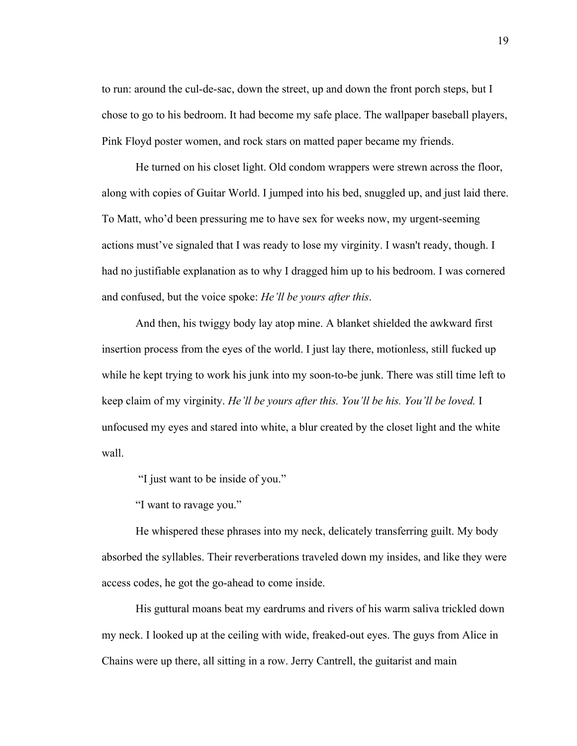to run: around the cul-de-sac, down the street, up and down the front porch steps, but I chose to go to his bedroom. It had become my safe place. The wallpaper baseball players, Pink Floyd poster women, and rock stars on matted paper became my friends.

He turned on his closet light. Old condom wrappers were strewn across the floor, along with copies of Guitar World. I jumped into his bed, snuggled up, and just laid there. To Matt, who'd been pressuring me to have sex for weeks now, my urgent-seeming actions must've signaled that I was ready to lose my virginity. I wasn't ready, though. I had no justifiable explanation as to why I dragged him up to his bedroom. I was cornered and confused, but the voice spoke: *He'll be yours after this*.

And then, his twiggy body lay atop mine. A blanket shielded the awkward first insertion process from the eyes of the world. I just lay there, motionless, still fucked up while he kept trying to work his junk into my soon-to-be junk. There was still time left to keep claim of my virginity. *He'll be yours after this. You'll be his. You'll be loved.* I unfocused my eyes and stared into white, a blur created by the closet light and the white wall.

"I just want to be inside of you."

"I want to ravage you."

He whispered these phrases into my neck, delicately transferring guilt. My body absorbed the syllables. Their reverberations traveled down my insides, and like they were access codes, he got the go-ahead to come inside.

His guttural moans beat my eardrums and rivers of his warm saliva trickled down my neck. I looked up at the ceiling with wide, freaked-out eyes. The guys from Alice in Chains were up there, all sitting in a row. Jerry Cantrell, the guitarist and main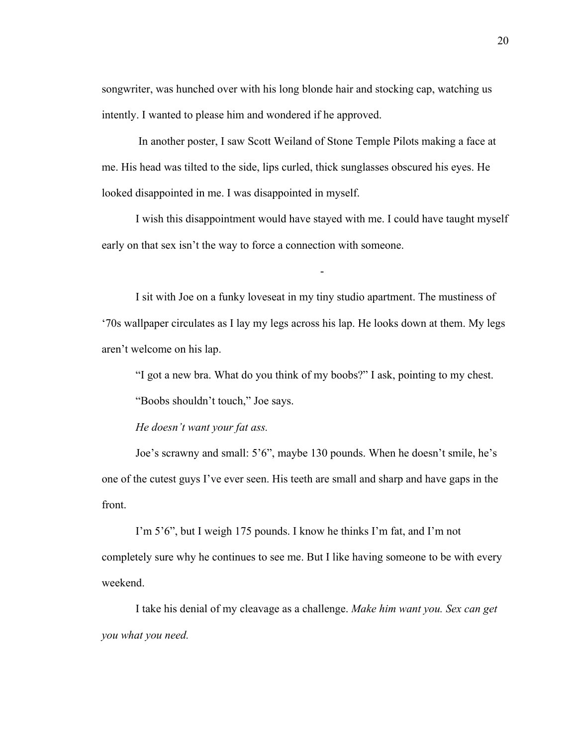songwriter, was hunched over with his long blonde hair and stocking cap, watching us intently. I wanted to please him and wondered if he approved.

 In another poster, I saw Scott Weiland of Stone Temple Pilots making a face at me. His head was tilted to the side, lips curled, thick sunglasses obscured his eyes. He looked disappointed in me. I was disappointed in myself.

I wish this disappointment would have stayed with me. I could have taught myself early on that sex isn't the way to force a connection with someone.

-

I sit with Joe on a funky loveseat in my tiny studio apartment. The mustiness of '70s wallpaper circulates as I lay my legs across his lap. He looks down at them. My legs aren't welcome on his lap.

"I got a new bra. What do you think of my boobs?" I ask, pointing to my chest.

"Boobs shouldn't touch," Joe says.

*He doesn't want your fat ass.* 

Joe's scrawny and small: 5'6", maybe 130 pounds. When he doesn't smile, he's one of the cutest guys I've ever seen. His teeth are small and sharp and have gaps in the front.

I'm 5'6", but I weigh 175 pounds. I know he thinks I'm fat, and I'm not completely sure why he continues to see me. But I like having someone to be with every weekend.

I take his denial of my cleavage as a challenge. *Make him want you. Sex can get you what you need.*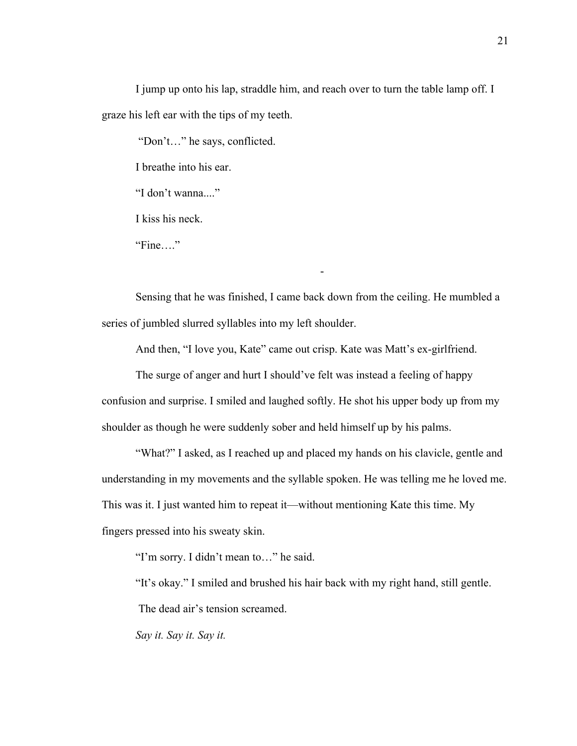I jump up onto his lap, straddle him, and reach over to turn the table lamp off. I graze his left ear with the tips of my teeth.

"Don't…" he says, conflicted.

I breathe into his ear.

"I don't wanna...."

I kiss his neck.

"Fine…."

Sensing that he was finished, I came back down from the ceiling. He mumbled a series of jumbled slurred syllables into my left shoulder.

-

And then, "I love you, Kate" came out crisp. Kate was Matt's ex-girlfriend.

The surge of anger and hurt I should've felt was instead a feeling of happy confusion and surprise. I smiled and laughed softly. He shot his upper body up from my shoulder as though he were suddenly sober and held himself up by his palms.

"What?" I asked, as I reached up and placed my hands on his clavicle, gentle and understanding in my movements and the syllable spoken. He was telling me he loved me. This was it. I just wanted him to repeat it—without mentioning Kate this time. My fingers pressed into his sweaty skin.

"I'm sorry. I didn't mean to…" he said.

"It's okay." I smiled and brushed his hair back with my right hand, still gentle. The dead air's tension screamed.

*Say it. Say it. Say it.*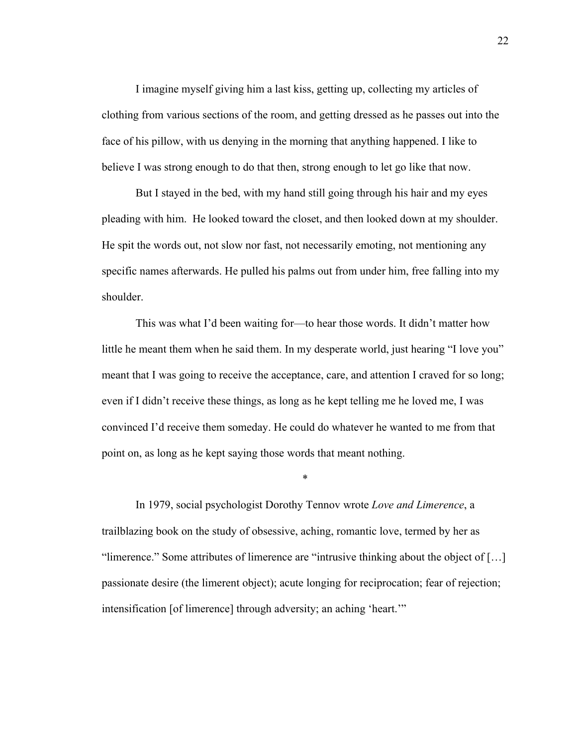I imagine myself giving him a last kiss, getting up, collecting my articles of clothing from various sections of the room, and getting dressed as he passes out into the face of his pillow, with us denying in the morning that anything happened. I like to believe I was strong enough to do that then, strong enough to let go like that now.

But I stayed in the bed, with my hand still going through his hair and my eyes pleading with him. He looked toward the closet, and then looked down at my shoulder. He spit the words out, not slow nor fast, not necessarily emoting, not mentioning any specific names afterwards. He pulled his palms out from under him, free falling into my shoulder.

This was what I'd been waiting for—to hear those words. It didn't matter how little he meant them when he said them. In my desperate world, just hearing "I love you" meant that I was going to receive the acceptance, care, and attention I craved for so long; even if I didn't receive these things, as long as he kept telling me he loved me, I was convinced I'd receive them someday. He could do whatever he wanted to me from that point on, as long as he kept saying those words that meant nothing.

In 1979, social psychologist Dorothy Tennov wrote *Love and Limerence*, a trailblazing book on the study of obsessive, aching, romantic love, termed by her as "limerence." Some attributes of limerence are "intrusive thinking about the object of […] passionate desire (the limerent object); acute longing for reciprocation; fear of rejection; intensification [of limerence] through adversity; an aching 'heart.'"

\*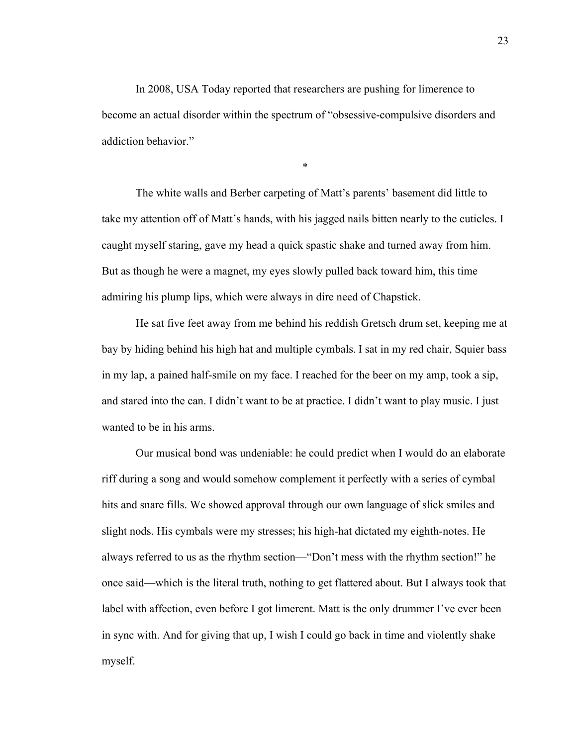In 2008, USA Today reported that researchers are pushing for limerence to become an actual disorder within the spectrum of "obsessive-compulsive disorders and addiction behavior."

\*

The white walls and Berber carpeting of Matt's parents' basement did little to take my attention off of Matt's hands, with his jagged nails bitten nearly to the cuticles. I caught myself staring, gave my head a quick spastic shake and turned away from him. But as though he were a magnet, my eyes slowly pulled back toward him, this time admiring his plump lips, which were always in dire need of Chapstick.

He sat five feet away from me behind his reddish Gretsch drum set, keeping me at bay by hiding behind his high hat and multiple cymbals. I sat in my red chair, Squier bass in my lap, a pained half-smile on my face. I reached for the beer on my amp, took a sip, and stared into the can. I didn't want to be at practice. I didn't want to play music. I just wanted to be in his arms.

Our musical bond was undeniable: he could predict when I would do an elaborate riff during a song and would somehow complement it perfectly with a series of cymbal hits and snare fills. We showed approval through our own language of slick smiles and slight nods. His cymbals were my stresses; his high-hat dictated my eighth-notes. He always referred to us as the rhythm section—"Don't mess with the rhythm section!" he once said—which is the literal truth, nothing to get flattered about. But I always took that label with affection, even before I got limerent. Matt is the only drummer I've ever been in sync with. And for giving that up, I wish I could go back in time and violently shake myself.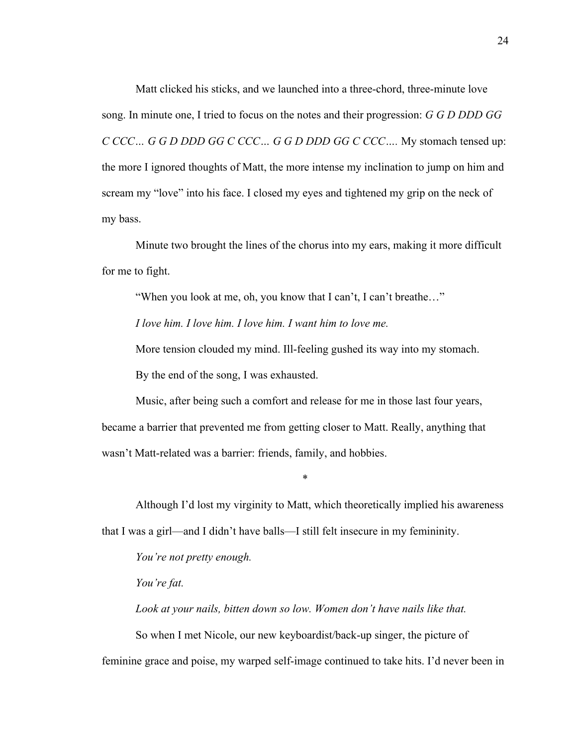Matt clicked his sticks, and we launched into a three-chord, three-minute love song. In minute one, I tried to focus on the notes and their progression: *G G D DDD GG C CCC… G G D DDD GG C CCC… G G D DDD GG C CCC….* My stomach tensed up: the more I ignored thoughts of Matt, the more intense my inclination to jump on him and scream my "love" into his face. I closed my eyes and tightened my grip on the neck of my bass.

Minute two brought the lines of the chorus into my ears, making it more difficult for me to fight.

"When you look at me, oh, you know that I can't, I can't breathe…"

*I love him. I love him. I love him. I want him to love me.*

More tension clouded my mind. Ill-feeling gushed its way into my stomach.

By the end of the song, I was exhausted.

Music, after being such a comfort and release for me in those last four years, became a barrier that prevented me from getting closer to Matt. Really, anything that wasn't Matt-related was a barrier: friends, family, and hobbies.

Although I'd lost my virginity to Matt, which theoretically implied his awareness that I was a girl—and I didn't have balls—I still felt insecure in my femininity.

\*

*You're not pretty enough.* 

*You're fat.* 

*Look at your nails, bitten down so low. Women don't have nails like that.* 

So when I met Nicole, our new keyboardist/back-up singer, the picture of feminine grace and poise, my warped self-image continued to take hits. I'd never been in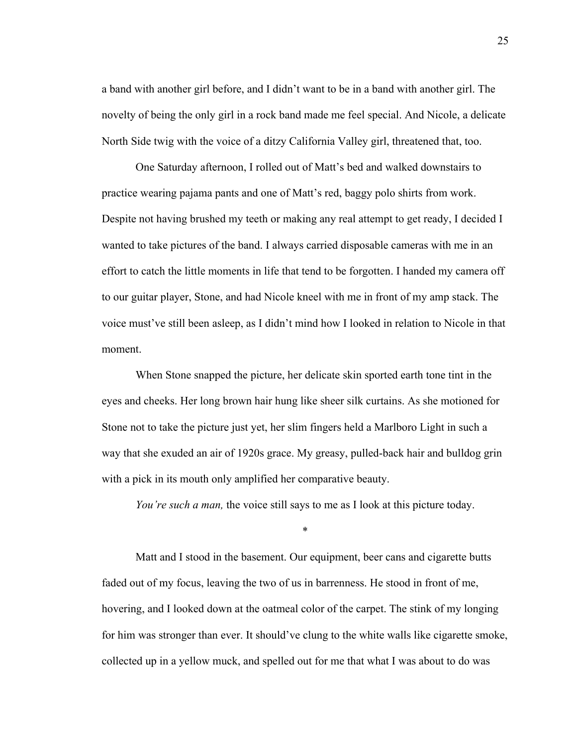a band with another girl before, and I didn't want to be in a band with another girl. The novelty of being the only girl in a rock band made me feel special. And Nicole, a delicate North Side twig with the voice of a ditzy California Valley girl, threatened that, too.

One Saturday afternoon, I rolled out of Matt's bed and walked downstairs to practice wearing pajama pants and one of Matt's red, baggy polo shirts from work. Despite not having brushed my teeth or making any real attempt to get ready, I decided I wanted to take pictures of the band. I always carried disposable cameras with me in an effort to catch the little moments in life that tend to be forgotten. I handed my camera off to our guitar player, Stone, and had Nicole kneel with me in front of my amp stack. The voice must've still been asleep, as I didn't mind how I looked in relation to Nicole in that moment.

When Stone snapped the picture, her delicate skin sported earth tone tint in the eyes and cheeks. Her long brown hair hung like sheer silk curtains. As she motioned for Stone not to take the picture just yet, her slim fingers held a Marlboro Light in such a way that she exuded an air of 1920s grace. My greasy, pulled-back hair and bulldog grin with a pick in its mouth only amplified her comparative beauty.

*You're such a man,* the voice still says to me as I look at this picture today.

\*

Matt and I stood in the basement. Our equipment, beer cans and cigarette butts faded out of my focus, leaving the two of us in barrenness. He stood in front of me, hovering, and I looked down at the oatmeal color of the carpet. The stink of my longing for him was stronger than ever. It should've clung to the white walls like cigarette smoke, collected up in a yellow muck, and spelled out for me that what I was about to do was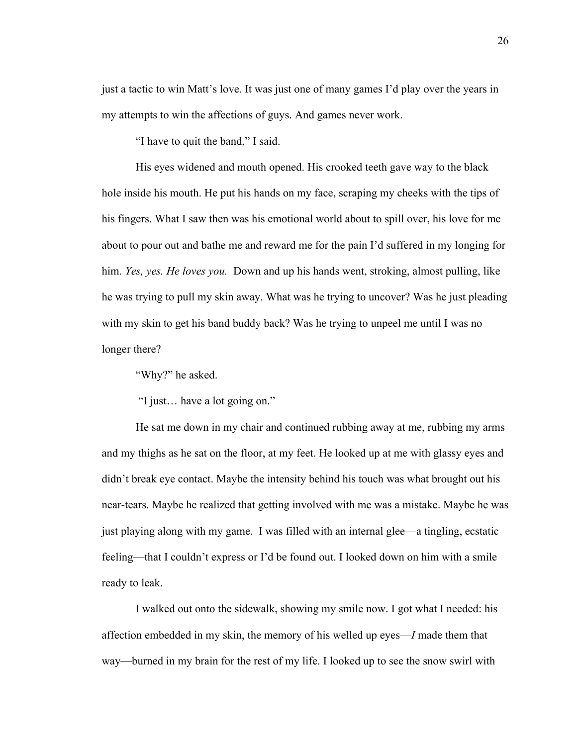just a tactic to win Matt's love. It was just one of many games I'd play over the years in my attempts to win the affections of guys. And games never work.

"I have to quit the band," I said.

His eyes widened and mouth opened. His crooked teeth gave way to the black hole inside his mouth. He put his hands on my face, scraping my cheeks with the tips of his fingers. What I saw then was his emotional world about to spill over, his love for me about to pour out and bathe me and reward me for the pain I'd suffered in my longing for him. *Yes, yes. He loves you.* Down and up his hands went, stroking, almost pulling, like he was trying to pull my skin away. What was he trying to uncover? Was he just pleading with my skin to get his band buddy back? Was he trying to unpeel me until I was no longer there?

"Why?" he asked.

"I just… have a lot going on."

He sat me down in my chair and continued rubbing away at me, rubbing my arms and my thighs as he sat on the floor, at my feet. He looked up at me with glassy eyes and didn't break eye contact. Maybe the intensity behind his touch was what brought out his near-tears. Maybe he realized that getting involved with me was a mistake. Maybe he was just playing along with my game. I was filled with an internal glee—a tingling, ecstatic feeling—that I couldn't express or I'd be found out. I looked down on him with a smile ready to leak.

I walked out onto the sidewalk, showing my smile now. I got what I needed: his affection embedded in my skin, the memory of his welled up eyes—*I* made them that way—burned in my brain for the rest of my life. I looked up to see the snow swirl with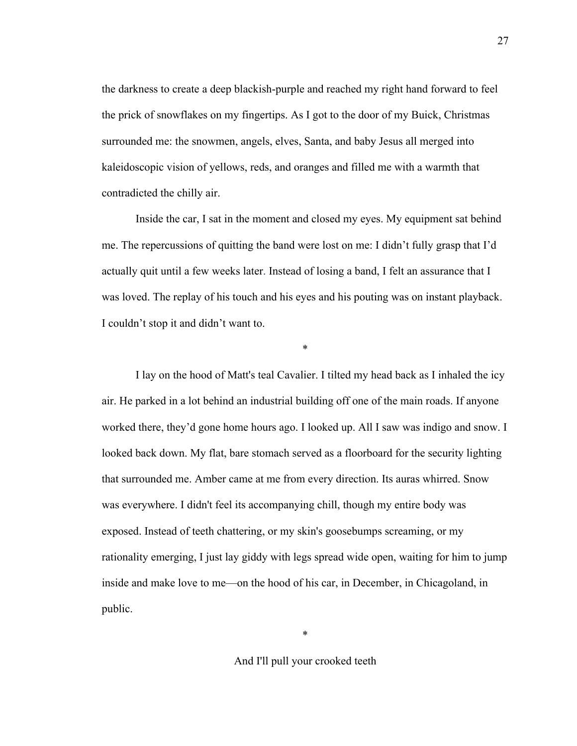the darkness to create a deep blackish-purple and reached my right hand forward to feel the prick of snowflakes on my fingertips. As I got to the door of my Buick, Christmas surrounded me: the snowmen, angels, elves, Santa, and baby Jesus all merged into kaleidoscopic vision of yellows, reds, and oranges and filled me with a warmth that contradicted the chilly air.

Inside the car, I sat in the moment and closed my eyes. My equipment sat behind me. The repercussions of quitting the band were lost on me: I didn't fully grasp that I'd actually quit until a few weeks later. Instead of losing a band, I felt an assurance that I was loved. The replay of his touch and his eyes and his pouting was on instant playback. I couldn't stop it and didn't want to.

\*

I lay on the hood of Matt's teal Cavalier. I tilted my head back as I inhaled the icy air. He parked in a lot behind an industrial building off one of the main roads. If anyone worked there, they'd gone home hours ago. I looked up. All I saw was indigo and snow. I looked back down. My flat, bare stomach served as a floorboard for the security lighting that surrounded me. Amber came at me from every direction. Its auras whirred. Snow was everywhere. I didn't feel its accompanying chill, though my entire body was exposed. Instead of teeth chattering, or my skin's goosebumps screaming, or my rationality emerging, I just lay giddy with legs spread wide open, waiting for him to jump inside and make love to me—on the hood of his car, in December, in Chicagoland, in public.

And I'll pull your crooked teeth

\*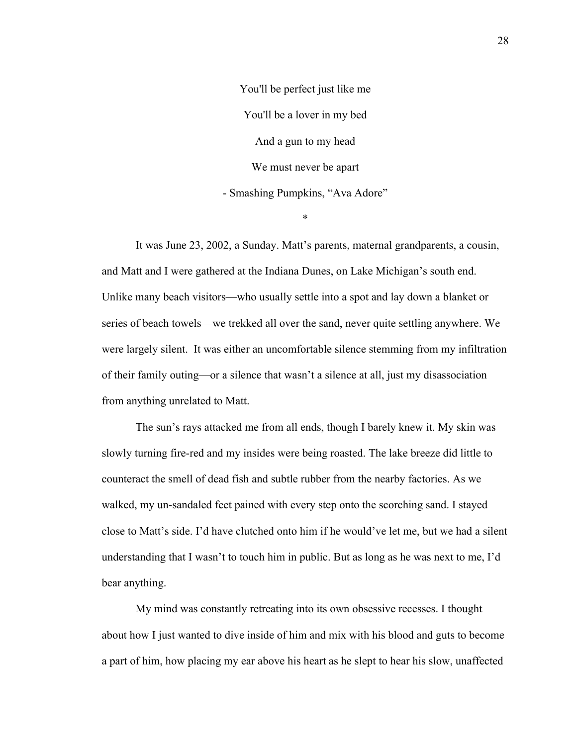You'll be perfect just like me You'll be a lover in my bed And a gun to my head We must never be apart - Smashing Pumpkins, "Ava Adore"

\*

It was June 23, 2002, a Sunday. Matt's parents, maternal grandparents, a cousin, and Matt and I were gathered at the Indiana Dunes, on Lake Michigan's south end. Unlike many beach visitors—who usually settle into a spot and lay down a blanket or series of beach towels—we trekked all over the sand, never quite settling anywhere. We were largely silent. It was either an uncomfortable silence stemming from my infiltration of their family outing—or a silence that wasn't a silence at all, just my disassociation from anything unrelated to Matt.

The sun's rays attacked me from all ends, though I barely knew it. My skin was slowly turning fire-red and my insides were being roasted. The lake breeze did little to counteract the smell of dead fish and subtle rubber from the nearby factories. As we walked, my un-sandaled feet pained with every step onto the scorching sand. I stayed close to Matt's side. I'd have clutched onto him if he would've let me, but we had a silent understanding that I wasn't to touch him in public. But as long as he was next to me, I'd bear anything.

My mind was constantly retreating into its own obsessive recesses. I thought about how I just wanted to dive inside of him and mix with his blood and guts to become a part of him, how placing my ear above his heart as he slept to hear his slow, unaffected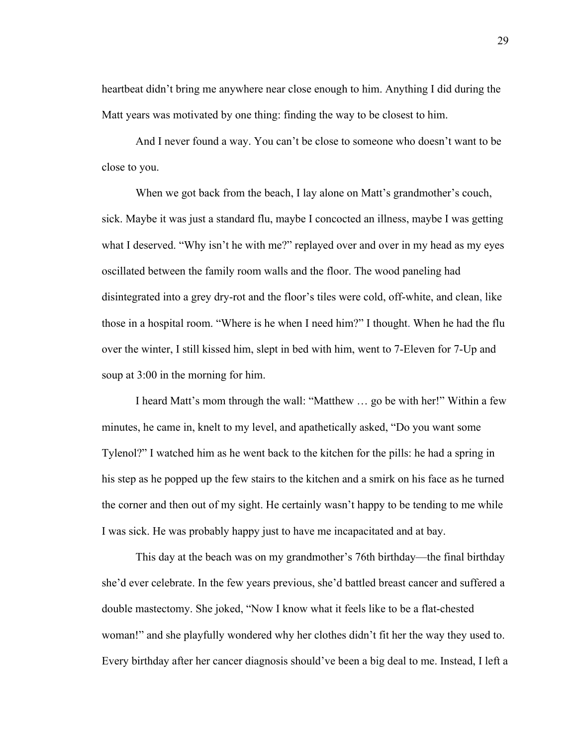heartbeat didn't bring me anywhere near close enough to him. Anything I did during the Matt years was motivated by one thing: finding the way to be closest to him.

And I never found a way. You can't be close to someone who doesn't want to be close to you.

When we got back from the beach, I lay alone on Matt's grandmother's couch, sick. Maybe it was just a standard flu, maybe I concocted an illness, maybe I was getting what I deserved. "Why isn't he with me?" replayed over and over in my head as my eyes oscillated between the family room walls and the floor. The wood paneling had disintegrated into a grey dry-rot and the floor's tiles were cold, off-white, and clean, like those in a hospital room. "Where is he when I need him?" I thought. When he had the flu over the winter, I still kissed him, slept in bed with him, went to 7-Eleven for 7-Up and soup at 3:00 in the morning for him.

I heard Matt's mom through the wall: "Matthew … go be with her!" Within a few minutes, he came in, knelt to my level, and apathetically asked, "Do you want some Tylenol?" I watched him as he went back to the kitchen for the pills: he had a spring in his step as he popped up the few stairs to the kitchen and a smirk on his face as he turned the corner and then out of my sight. He certainly wasn't happy to be tending to me while I was sick. He was probably happy just to have me incapacitated and at bay.

This day at the beach was on my grandmother's 76th birthday—the final birthday she'd ever celebrate. In the few years previous, she'd battled breast cancer and suffered a double mastectomy. She joked, "Now I know what it feels like to be a flat-chested woman!" and she playfully wondered why her clothes didn't fit her the way they used to. Every birthday after her cancer diagnosis should've been a big deal to me. Instead, I left a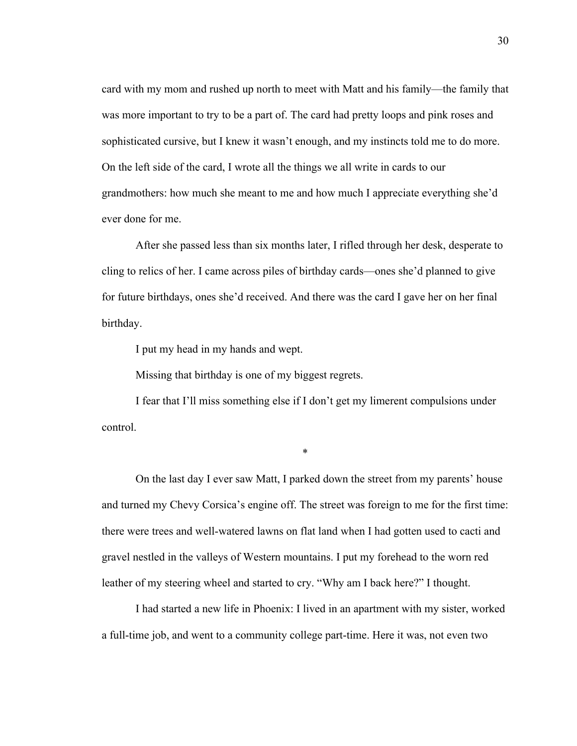card with my mom and rushed up north to meet with Matt and his family—the family that was more important to try to be a part of. The card had pretty loops and pink roses and sophisticated cursive, but I knew it wasn't enough, and my instincts told me to do more. On the left side of the card, I wrote all the things we all write in cards to our grandmothers: how much she meant to me and how much I appreciate everything she'd ever done for me.

After she passed less than six months later, I rifled through her desk, desperate to cling to relics of her. I came across piles of birthday cards—ones she'd planned to give for future birthdays, ones she'd received. And there was the card I gave her on her final birthday.

I put my head in my hands and wept.

Missing that birthday is one of my biggest regrets.

I fear that I'll miss something else if I don't get my limerent compulsions under control.

\*

On the last day I ever saw Matt, I parked down the street from my parents' house and turned my Chevy Corsica's engine off. The street was foreign to me for the first time: there were trees and well-watered lawns on flat land when I had gotten used to cacti and gravel nestled in the valleys of Western mountains. I put my forehead to the worn red leather of my steering wheel and started to cry. "Why am I back here?" I thought.

I had started a new life in Phoenix: I lived in an apartment with my sister, worked a full-time job, and went to a community college part-time. Here it was, not even two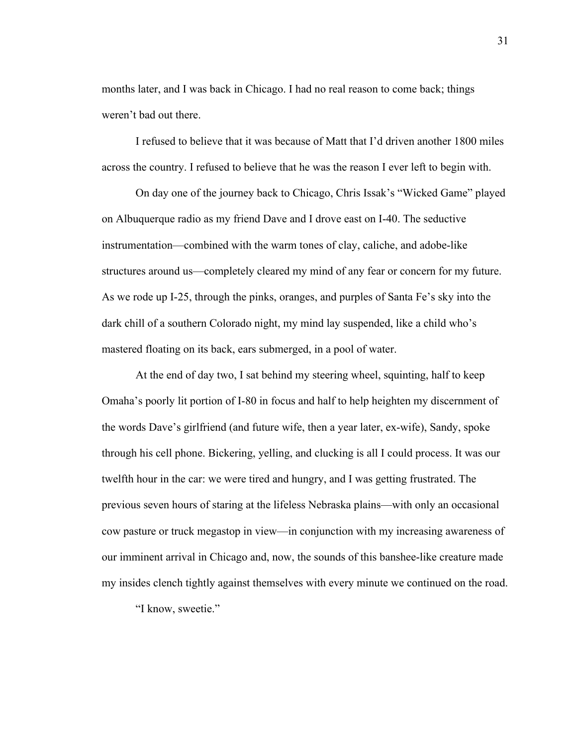months later, and I was back in Chicago. I had no real reason to come back; things weren't bad out there.

I refused to believe that it was because of Matt that I'd driven another 1800 miles across the country. I refused to believe that he was the reason I ever left to begin with.

On day one of the journey back to Chicago, Chris Issak's "Wicked Game" played on Albuquerque radio as my friend Dave and I drove east on I-40. The seductive instrumentation—combined with the warm tones of clay, caliche, and adobe-like structures around us—completely cleared my mind of any fear or concern for my future. As we rode up I-25, through the pinks, oranges, and purples of Santa Fe's sky into the dark chill of a southern Colorado night, my mind lay suspended, like a child who's mastered floating on its back, ears submerged, in a pool of water.

At the end of day two, I sat behind my steering wheel, squinting, half to keep Omaha's poorly lit portion of I-80 in focus and half to help heighten my discernment of the words Dave's girlfriend (and future wife, then a year later, ex-wife), Sandy, spoke through his cell phone. Bickering, yelling, and clucking is all I could process. It was our twelfth hour in the car: we were tired and hungry, and I was getting frustrated. The previous seven hours of staring at the lifeless Nebraska plains—with only an occasional cow pasture or truck megastop in view—in conjunction with my increasing awareness of our imminent arrival in Chicago and, now, the sounds of this banshee-like creature made my insides clench tightly against themselves with every minute we continued on the road.

"I know, sweetie."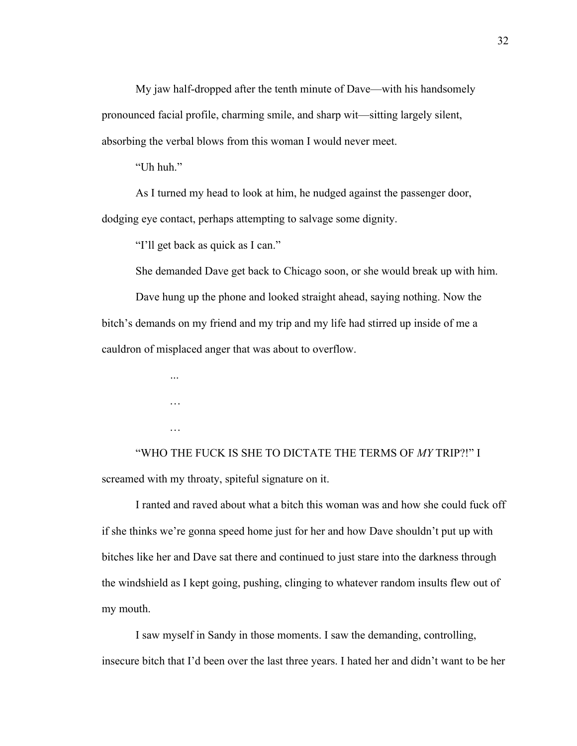My jaw half-dropped after the tenth minute of Dave—with his handsomely pronounced facial profile, charming smile, and sharp wit—sitting largely silent, absorbing the verbal blows from this woman I would never meet.

"Uh huh."

As I turned my head to look at him, he nudged against the passenger door, dodging eye contact, perhaps attempting to salvage some dignity.

"I'll get back as quick as I can."

She demanded Dave get back to Chicago soon, or she would break up with him.

Dave hung up the phone and looked straight ahead, saying nothing. Now the bitch's demands on my friend and my trip and my life had stirred up inside of me a cauldron of misplaced anger that was about to overflow.

> *…*  …

"WHO THE FUCK IS SHE TO DICTATE THE TERMS OF *MY* TRIP?!" I screamed with my throaty, spiteful signature on it.

I ranted and raved about what a bitch this woman was and how she could fuck off if she thinks we're gonna speed home just for her and how Dave shouldn't put up with bitches like her and Dave sat there and continued to just stare into the darkness through the windshield as I kept going, pushing, clinging to whatever random insults flew out of my mouth.

I saw myself in Sandy in those moments. I saw the demanding, controlling, insecure bitch that I'd been over the last three years. I hated her and didn't want to be her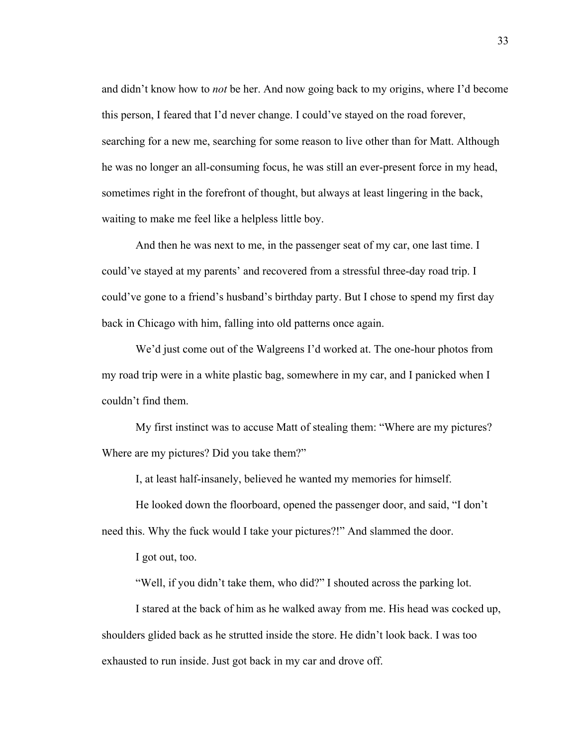and didn't know how to *not* be her. And now going back to my origins, where I'd become this person, I feared that I'd never change. I could've stayed on the road forever, searching for a new me, searching for some reason to live other than for Matt. Although he was no longer an all-consuming focus, he was still an ever-present force in my head, sometimes right in the forefront of thought, but always at least lingering in the back, waiting to make me feel like a helpless little boy.

And then he was next to me, in the passenger seat of my car, one last time. I could've stayed at my parents' and recovered from a stressful three-day road trip. I could've gone to a friend's husband's birthday party. But I chose to spend my first day back in Chicago with him, falling into old patterns once again.

We'd just come out of the Walgreens I'd worked at. The one-hour photos from my road trip were in a white plastic bag, somewhere in my car, and I panicked when I couldn't find them.

My first instinct was to accuse Matt of stealing them: "Where are my pictures? Where are my pictures? Did you take them?"

I, at least half-insanely, believed he wanted my memories for himself.

He looked down the floorboard, opened the passenger door, and said, "I don't need this. Why the fuck would I take your pictures?!" And slammed the door.

I got out, too.

"Well, if you didn't take them, who did?" I shouted across the parking lot.

I stared at the back of him as he walked away from me. His head was cocked up, shoulders glided back as he strutted inside the store. He didn't look back. I was too exhausted to run inside. Just got back in my car and drove off.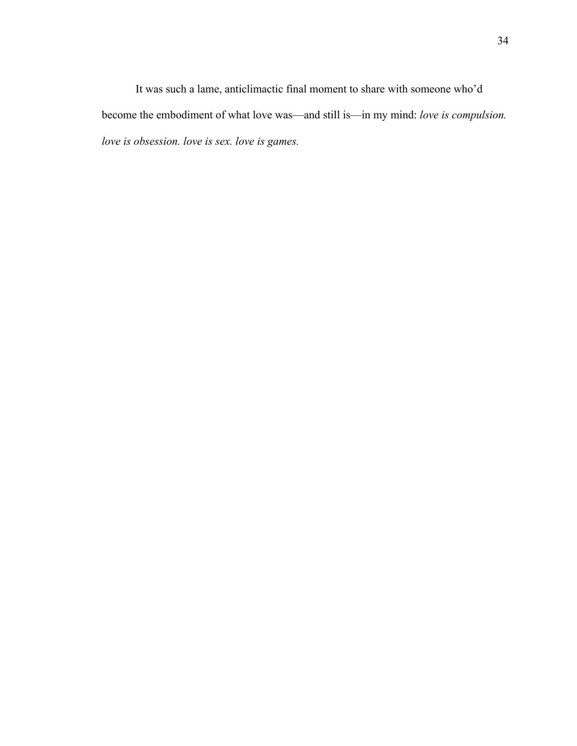It was such a lame, anticlimactic final moment to share with someone who'd become the embodiment of what love was—and still is—in my mind: *love is compulsion. love is obsession. love is sex. love is games.*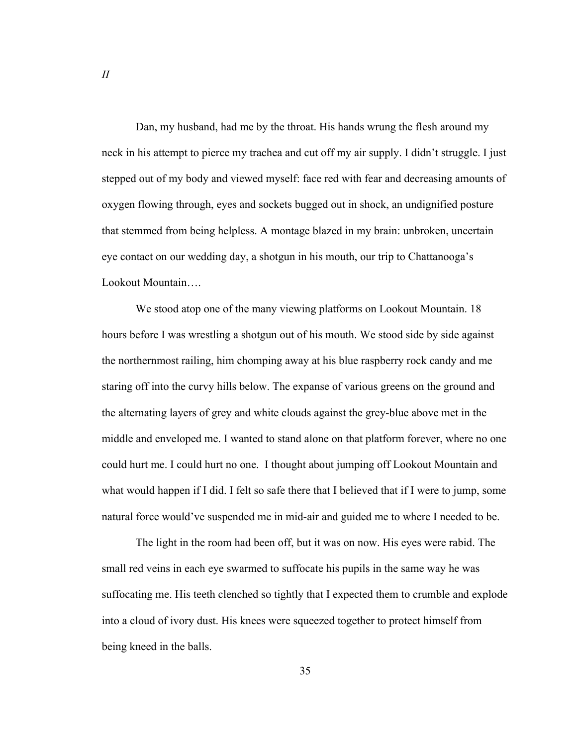Dan, my husband, had me by the throat. His hands wrung the flesh around my neck in his attempt to pierce my trachea and cut off my air supply. I didn't struggle. I just stepped out of my body and viewed myself: face red with fear and decreasing amounts of oxygen flowing through, eyes and sockets bugged out in shock, an undignified posture that stemmed from being helpless. A montage blazed in my brain: unbroken, uncertain eye contact on our wedding day, a shotgun in his mouth, our trip to Chattanooga's Lookout Mountain….

We stood atop one of the many viewing platforms on Lookout Mountain. 18 hours before I was wrestling a shotgun out of his mouth. We stood side by side against the northernmost railing, him chomping away at his blue raspberry rock candy and me staring off into the curvy hills below. The expanse of various greens on the ground and the alternating layers of grey and white clouds against the grey-blue above met in the middle and enveloped me. I wanted to stand alone on that platform forever, where no one could hurt me. I could hurt no one. I thought about jumping off Lookout Mountain and what would happen if I did. I felt so safe there that I believed that if I were to jump, some natural force would've suspended me in mid-air and guided me to where I needed to be.

The light in the room had been off, but it was on now. His eyes were rabid. The small red veins in each eye swarmed to suffocate his pupils in the same way he was suffocating me. His teeth clenched so tightly that I expected them to crumble and explode into a cloud of ivory dust. His knees were squeezed together to protect himself from being kneed in the balls.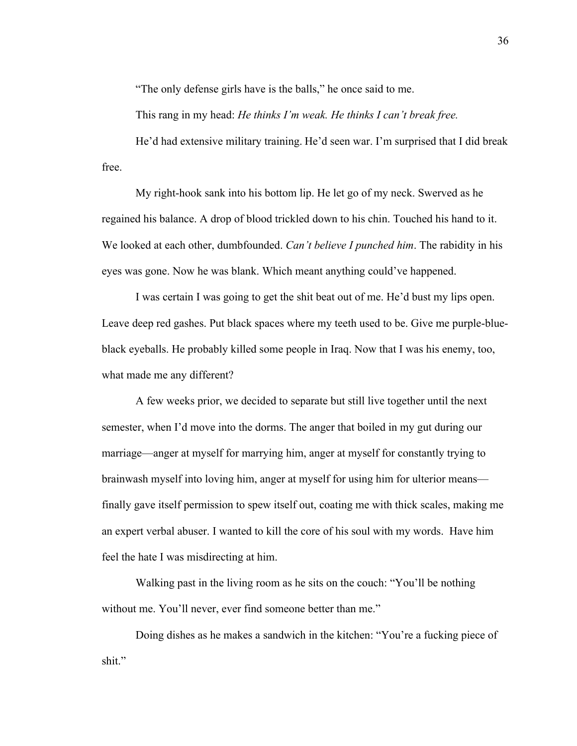"The only defense girls have is the balls," he once said to me.

This rang in my head: *He thinks I'm weak. He thinks I can't break free.* 

He'd had extensive military training. He'd seen war. I'm surprised that I did break free.

My right-hook sank into his bottom lip. He let go of my neck. Swerved as he regained his balance. A drop of blood trickled down to his chin. Touched his hand to it. We looked at each other, dumbfounded. *Can't believe I punched him*. The rabidity in his eyes was gone. Now he was blank. Which meant anything could've happened.

I was certain I was going to get the shit beat out of me. He'd bust my lips open. Leave deep red gashes. Put black spaces where my teeth used to be. Give me purple-blueblack eyeballs. He probably killed some people in Iraq. Now that I was his enemy, too, what made me any different?

A few weeks prior, we decided to separate but still live together until the next semester, when I'd move into the dorms. The anger that boiled in my gut during our marriage—anger at myself for marrying him, anger at myself for constantly trying to brainwash myself into loving him, anger at myself for using him for ulterior means finally gave itself permission to spew itself out, coating me with thick scales, making me an expert verbal abuser. I wanted to kill the core of his soul with my words. Have him feel the hate I was misdirecting at him.

Walking past in the living room as he sits on the couch: "You'll be nothing without me. You'll never, ever find someone better than me."

Doing dishes as he makes a sandwich in the kitchen: "You're a fucking piece of shit."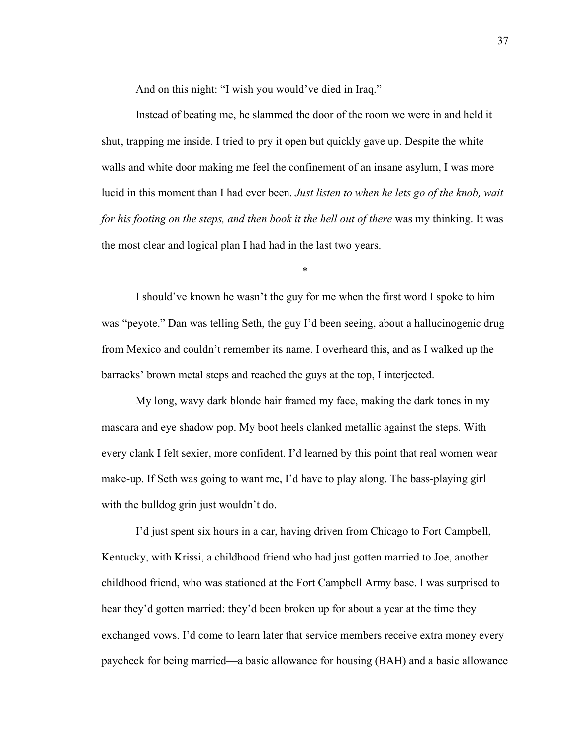And on this night: "I wish you would've died in Iraq."

Instead of beating me, he slammed the door of the room we were in and held it shut, trapping me inside. I tried to pry it open but quickly gave up. Despite the white walls and white door making me feel the confinement of an insane asylum, I was more lucid in this moment than I had ever been. *Just listen to when he lets go of the knob, wait for his footing on the steps, and then book it the hell out of there* was my thinking. It was the most clear and logical plan I had had in the last two years.

I should've known he wasn't the guy for me when the first word I spoke to him was "peyote." Dan was telling Seth, the guy I'd been seeing, about a hallucinogenic drug from Mexico and couldn't remember its name. I overheard this, and as I walked up the barracks' brown metal steps and reached the guys at the top, I interjected.

\*

My long, wavy dark blonde hair framed my face, making the dark tones in my mascara and eye shadow pop. My boot heels clanked metallic against the steps. With every clank I felt sexier, more confident. I'd learned by this point that real women wear make-up. If Seth was going to want me, I'd have to play along. The bass-playing girl with the bulldog grin just wouldn't do.

I'd just spent six hours in a car, having driven from Chicago to Fort Campbell, Kentucky, with Krissi, a childhood friend who had just gotten married to Joe, another childhood friend, who was stationed at the Fort Campbell Army base. I was surprised to hear they'd gotten married: they'd been broken up for about a year at the time they exchanged vows. I'd come to learn later that service members receive extra money every paycheck for being married—a basic allowance for housing (BAH) and a basic allowance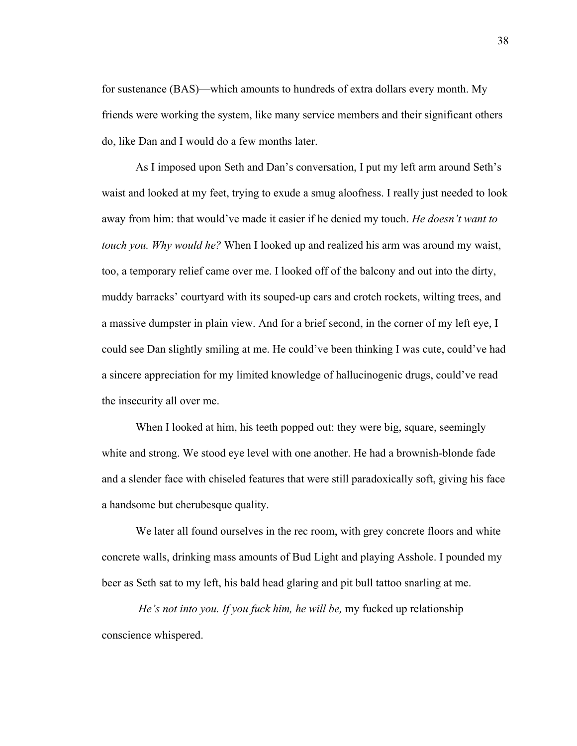for sustenance (BAS)—which amounts to hundreds of extra dollars every month. My friends were working the system, like many service members and their significant others do, like Dan and I would do a few months later.

As I imposed upon Seth and Dan's conversation, I put my left arm around Seth's waist and looked at my feet, trying to exude a smug aloofness. I really just needed to look away from him: that would've made it easier if he denied my touch. *He doesn't want to touch you. Why would he?* When I looked up and realized his arm was around my waist, too, a temporary relief came over me. I looked off of the balcony and out into the dirty, muddy barracks' courtyard with its souped-up cars and crotch rockets, wilting trees, and a massive dumpster in plain view. And for a brief second, in the corner of my left eye, I could see Dan slightly smiling at me. He could've been thinking I was cute, could've had a sincere appreciation for my limited knowledge of hallucinogenic drugs, could've read the insecurity all over me.

When I looked at him, his teeth popped out: they were big, square, seemingly white and strong. We stood eye level with one another. He had a brownish-blonde fade and a slender face with chiseled features that were still paradoxically soft, giving his face a handsome but cherubesque quality.

We later all found ourselves in the rec room, with grey concrete floors and white concrete walls, drinking mass amounts of Bud Light and playing Asshole. I pounded my beer as Seth sat to my left, his bald head glaring and pit bull tattoo snarling at me.

*He's not into you. If you fuck him, he will be, my fucked up relationship* conscience whispered.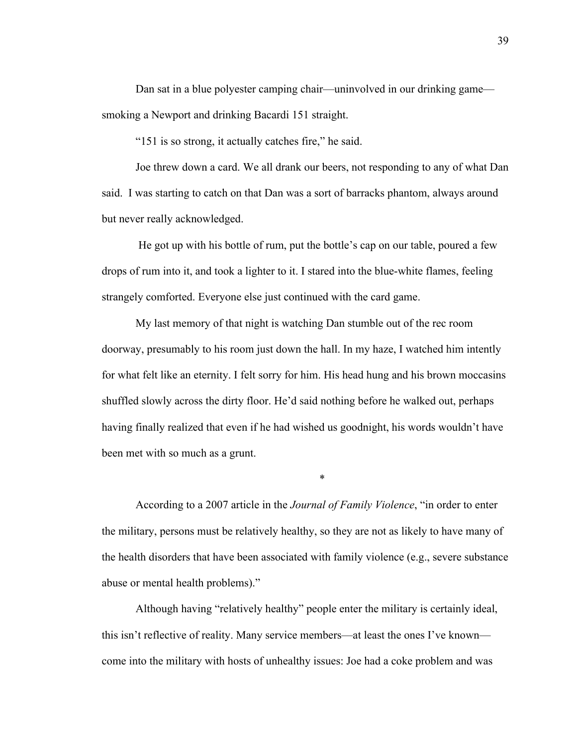Dan sat in a blue polyester camping chair—uninvolved in our drinking game smoking a Newport and drinking Bacardi 151 straight.

"151 is so strong, it actually catches fire," he said.

Joe threw down a card. We all drank our beers, not responding to any of what Dan said. I was starting to catch on that Dan was a sort of barracks phantom, always around but never really acknowledged.

He got up with his bottle of rum, put the bottle's cap on our table, poured a few drops of rum into it, and took a lighter to it. I stared into the blue-white flames, feeling strangely comforted. Everyone else just continued with the card game.

My last memory of that night is watching Dan stumble out of the rec room doorway, presumably to his room just down the hall. In my haze, I watched him intently for what felt like an eternity. I felt sorry for him. His head hung and his brown moccasins shuffled slowly across the dirty floor. He'd said nothing before he walked out, perhaps having finally realized that even if he had wished us goodnight, his words wouldn't have been met with so much as a grunt.

According to a 2007 article in the *Journal of Family Violence*, "in order to enter the military, persons must be relatively healthy, so they are not as likely to have many of the health disorders that have been associated with family violence (e.g., severe substance abuse or mental health problems)."

\*

Although having "relatively healthy" people enter the military is certainly ideal, this isn't reflective of reality. Many service members—at least the ones I've known come into the military with hosts of unhealthy issues: Joe had a coke problem and was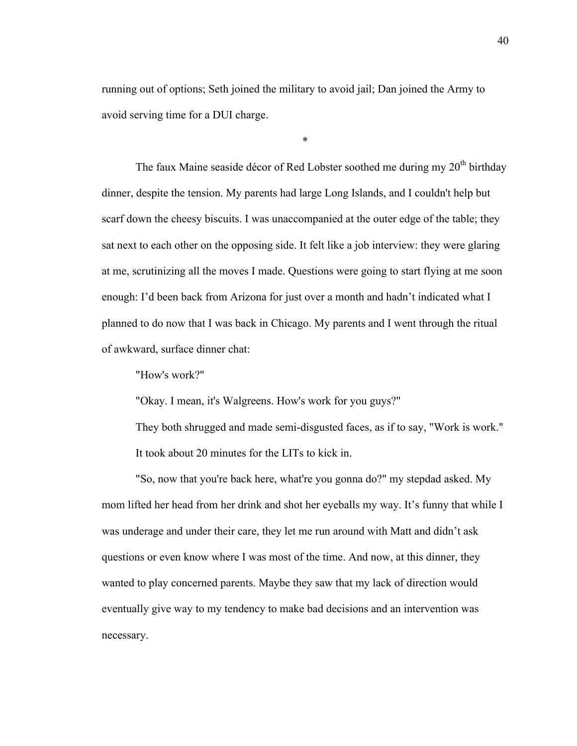running out of options; Seth joined the military to avoid jail; Dan joined the Army to avoid serving time for a DUI charge.

\*

The faux Maine seaside décor of Red Lobster soothed me during my  $20<sup>th</sup>$  birthday dinner, despite the tension. My parents had large Long Islands, and I couldn't help but scarf down the cheesy biscuits. I was unaccompanied at the outer edge of the table; they sat next to each other on the opposing side. It felt like a job interview: they were glaring at me, scrutinizing all the moves I made. Questions were going to start flying at me soon enough: I'd been back from Arizona for just over a month and hadn't indicated what I planned to do now that I was back in Chicago. My parents and I went through the ritual of awkward, surface dinner chat:

"How's work?"

"Okay. I mean, it's Walgreens. How's work for you guys?"

They both shrugged and made semi-disgusted faces, as if to say, "Work is work." It took about 20 minutes for the LITs to kick in.

"So, now that you're back here, what're you gonna do?" my stepdad asked. My mom lifted her head from her drink and shot her eyeballs my way. It's funny that while I was underage and under their care, they let me run around with Matt and didn't ask questions or even know where I was most of the time. And now, at this dinner, they wanted to play concerned parents. Maybe they saw that my lack of direction would eventually give way to my tendency to make bad decisions and an intervention was necessary.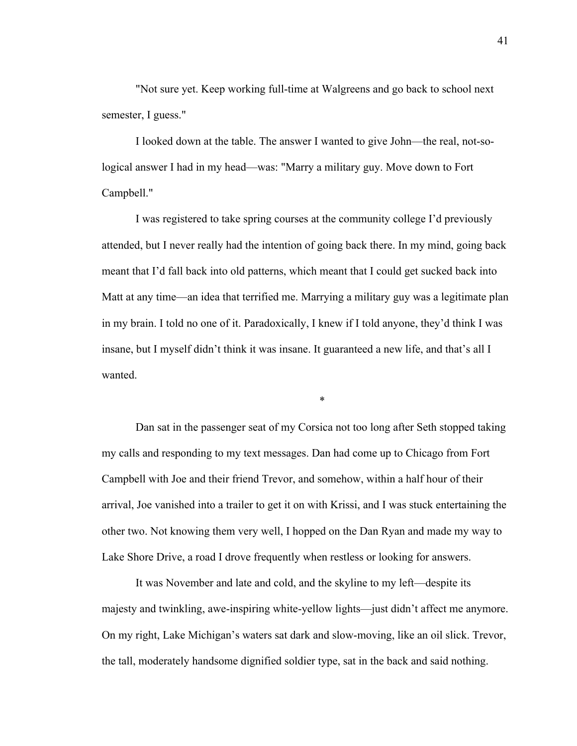"Not sure yet. Keep working full-time at Walgreens and go back to school next semester, I guess."

I looked down at the table. The answer I wanted to give John—the real, not-sological answer I had in my head—was: "Marry a military guy. Move down to Fort Campbell."

I was registered to take spring courses at the community college I'd previously attended, but I never really had the intention of going back there. In my mind, going back meant that I'd fall back into old patterns, which meant that I could get sucked back into Matt at any time—an idea that terrified me. Marrying a military guy was a legitimate plan in my brain. I told no one of it. Paradoxically, I knew if I told anyone, they'd think I was insane, but I myself didn't think it was insane. It guaranteed a new life, and that's all I wanted.

Dan sat in the passenger seat of my Corsica not too long after Seth stopped taking my calls and responding to my text messages. Dan had come up to Chicago from Fort Campbell with Joe and their friend Trevor, and somehow, within a half hour of their arrival, Joe vanished into a trailer to get it on with Krissi, and I was stuck entertaining the other two. Not knowing them very well, I hopped on the Dan Ryan and made my way to Lake Shore Drive, a road I drove frequently when restless or looking for answers.

\*

It was November and late and cold, and the skyline to my left—despite its majesty and twinkling, awe-inspiring white-yellow lights—just didn't affect me anymore. On my right, Lake Michigan's waters sat dark and slow-moving, like an oil slick. Trevor, the tall, moderately handsome dignified soldier type, sat in the back and said nothing.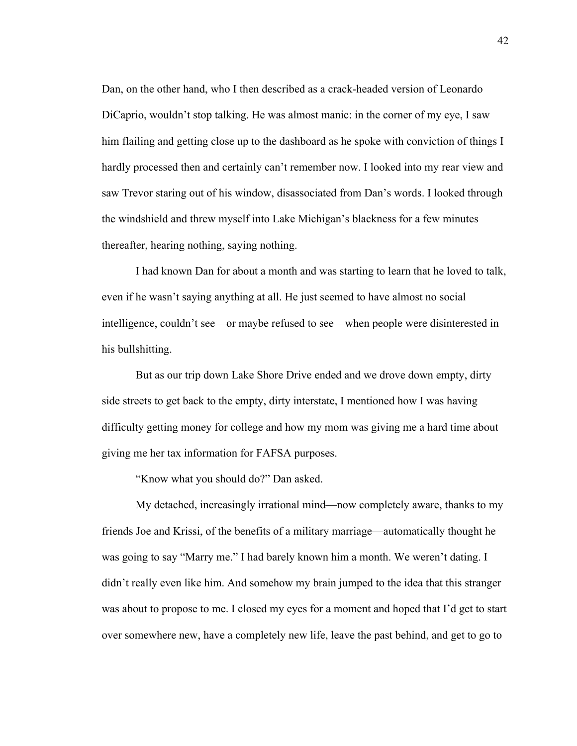Dan, on the other hand, who I then described as a crack-headed version of Leonardo DiCaprio, wouldn't stop talking. He was almost manic: in the corner of my eye, I saw him flailing and getting close up to the dashboard as he spoke with conviction of things I hardly processed then and certainly can't remember now. I looked into my rear view and saw Trevor staring out of his window, disassociated from Dan's words. I looked through the windshield and threw myself into Lake Michigan's blackness for a few minutes thereafter, hearing nothing, saying nothing.

I had known Dan for about a month and was starting to learn that he loved to talk, even if he wasn't saying anything at all. He just seemed to have almost no social intelligence, couldn't see—or maybe refused to see—when people were disinterested in his bullshitting.

But as our trip down Lake Shore Drive ended and we drove down empty, dirty side streets to get back to the empty, dirty interstate, I mentioned how I was having difficulty getting money for college and how my mom was giving me a hard time about giving me her tax information for FAFSA purposes.

"Know what you should do?" Dan asked.

My detached, increasingly irrational mind—now completely aware, thanks to my friends Joe and Krissi, of the benefits of a military marriage—automatically thought he was going to say "Marry me." I had barely known him a month. We weren't dating. I didn't really even like him. And somehow my brain jumped to the idea that this stranger was about to propose to me. I closed my eyes for a moment and hoped that I'd get to start over somewhere new, have a completely new life, leave the past behind, and get to go to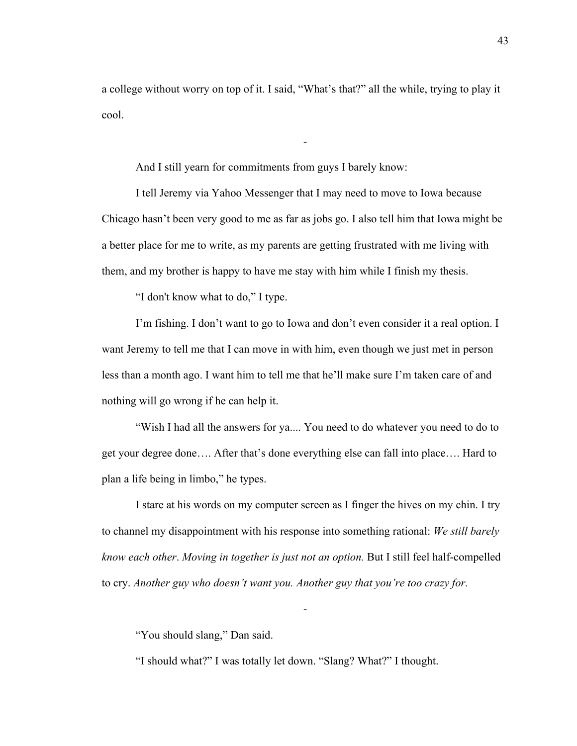a college without worry on top of it. I said, "What's that?" all the while, trying to play it cool.

-

And I still yearn for commitments from guys I barely know:

I tell Jeremy via Yahoo Messenger that I may need to move to Iowa because Chicago hasn't been very good to me as far as jobs go. I also tell him that Iowa might be a better place for me to write, as my parents are getting frustrated with me living with them, and my brother is happy to have me stay with him while I finish my thesis.

"I don't know what to do," I type.

I'm fishing. I don't want to go to Iowa and don't even consider it a real option. I want Jeremy to tell me that I can move in with him, even though we just met in person less than a month ago. I want him to tell me that he'll make sure I'm taken care of and nothing will go wrong if he can help it.

"Wish I had all the answers for ya.... You need to do whatever you need to do to get your degree done…. After that's done everything else can fall into place…. Hard to plan a life being in limbo," he types.

I stare at his words on my computer screen as I finger the hives on my chin. I try to channel my disappointment with his response into something rational: *We still barely know each other*. *Moving in together is just not an option.* But I still feel half-compelled to cry. *Another guy who doesn't want you. Another guy that you're too crazy for.* 

*-*

"You should slang," Dan said.

"I should what?" I was totally let down. "Slang? What?" I thought.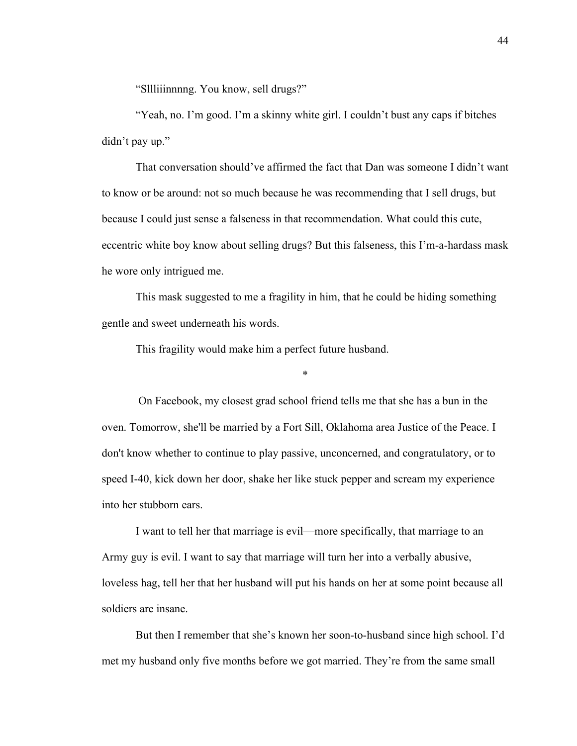"Sllliiinnnng. You know, sell drugs?"

"Yeah, no. I'm good. I'm a skinny white girl. I couldn't bust any caps if bitches didn't pay up."

That conversation should've affirmed the fact that Dan was someone I didn't want to know or be around: not so much because he was recommending that I sell drugs, but because I could just sense a falseness in that recommendation. What could this cute, eccentric white boy know about selling drugs? But this falseness, this I'm-a-hardass mask he wore only intrigued me.

This mask suggested to me a fragility in him, that he could be hiding something gentle and sweet underneath his words.

This fragility would make him a perfect future husband.

\*

On Facebook, my closest grad school friend tells me that she has a bun in the oven. Tomorrow, she'll be married by a Fort Sill, Oklahoma area Justice of the Peace. I don't know whether to continue to play passive, unconcerned, and congratulatory, or to speed I-40, kick down her door, shake her like stuck pepper and scream my experience into her stubborn ears.

I want to tell her that marriage is evil—more specifically, that marriage to an Army guy is evil. I want to say that marriage will turn her into a verbally abusive, loveless hag, tell her that her husband will put his hands on her at some point because all soldiers are insane.

But then I remember that she's known her soon-to-husband since high school. I'd met my husband only five months before we got married. They're from the same small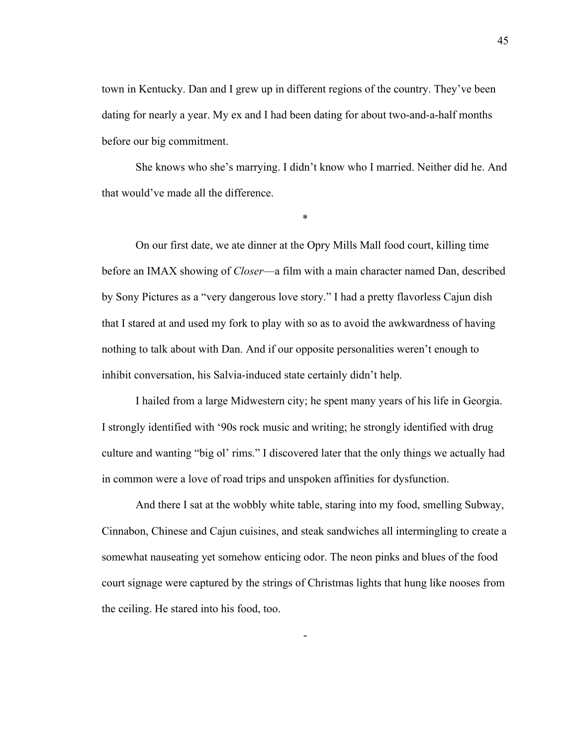town in Kentucky. Dan and I grew up in different regions of the country. They've been dating for nearly a year. My ex and I had been dating for about two-and-a-half months before our big commitment.

She knows who she's marrying. I didn't know who I married. Neither did he. And that would've made all the difference.

\*

On our first date, we ate dinner at the Opry Mills Mall food court, killing time before an IMAX showing of *Closer*—a film with a main character named Dan, described by Sony Pictures as a "very dangerous love story." I had a pretty flavorless Cajun dish that I stared at and used my fork to play with so as to avoid the awkwardness of having nothing to talk about with Dan. And if our opposite personalities weren't enough to inhibit conversation, his Salvia-induced state certainly didn't help.

I hailed from a large Midwestern city; he spent many years of his life in Georgia. I strongly identified with '90s rock music and writing; he strongly identified with drug culture and wanting "big ol' rims." I discovered later that the only things we actually had in common were a love of road trips and unspoken affinities for dysfunction.

And there I sat at the wobbly white table, staring into my food, smelling Subway, Cinnabon, Chinese and Cajun cuisines, and steak sandwiches all intermingling to create a somewhat nauseating yet somehow enticing odor. The neon pinks and blues of the food court signage were captured by the strings of Christmas lights that hung like nooses from the ceiling. He stared into his food, too.

-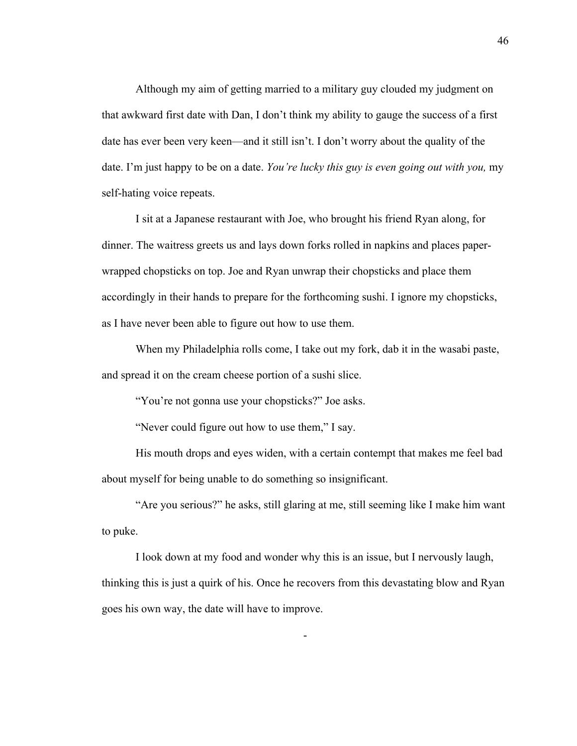Although my aim of getting married to a military guy clouded my judgment on that awkward first date with Dan, I don't think my ability to gauge the success of a first date has ever been very keen—and it still isn't. I don't worry about the quality of the date. I'm just happy to be on a date. *You're lucky this guy is even going out with you,* my self-hating voice repeats.

I sit at a Japanese restaurant with Joe, who brought his friend Ryan along, for dinner. The waitress greets us and lays down forks rolled in napkins and places paperwrapped chopsticks on top. Joe and Ryan unwrap their chopsticks and place them accordingly in their hands to prepare for the forthcoming sushi. I ignore my chopsticks, as I have never been able to figure out how to use them.

When my Philadelphia rolls come, I take out my fork, dab it in the wasabi paste, and spread it on the cream cheese portion of a sushi slice.

"You're not gonna use your chopsticks?" Joe asks.

"Never could figure out how to use them," I say.

His mouth drops and eyes widen, with a certain contempt that makes me feel bad about myself for being unable to do something so insignificant.

"Are you serious?" he asks, still glaring at me, still seeming like I make him want to puke.

I look down at my food and wonder why this is an issue, but I nervously laugh, thinking this is just a quirk of his. Once he recovers from this devastating blow and Ryan goes his own way, the date will have to improve.

-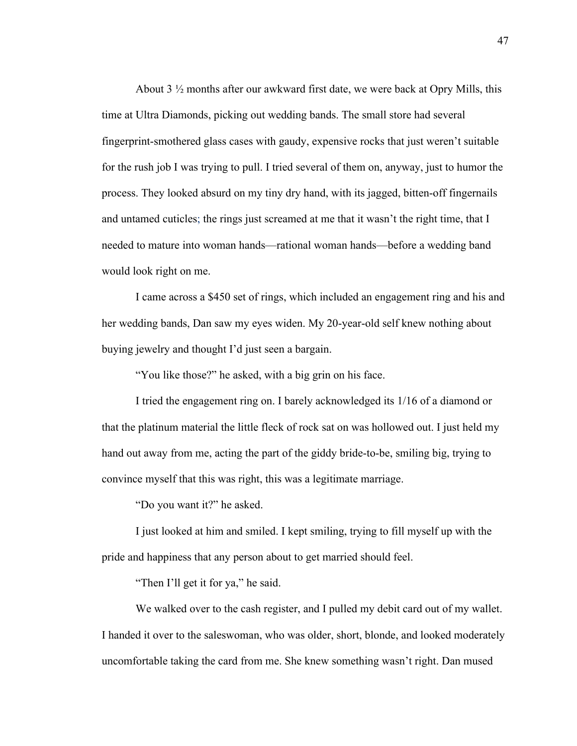About 3  $\frac{1}{2}$  months after our awkward first date, we were back at Opry Mills, this time at Ultra Diamonds, picking out wedding bands. The small store had several fingerprint-smothered glass cases with gaudy, expensive rocks that just weren't suitable for the rush job I was trying to pull. I tried several of them on, anyway, just to humor the process. They looked absurd on my tiny dry hand, with its jagged, bitten-off fingernails and untamed cuticles; the rings just screamed at me that it wasn't the right time, that I needed to mature into woman hands—rational woman hands—before a wedding band would look right on me.

I came across a \$450 set of rings, which included an engagement ring and his and her wedding bands, Dan saw my eyes widen. My 20-year-old self knew nothing about buying jewelry and thought I'd just seen a bargain.

"You like those?" he asked, with a big grin on his face.

I tried the engagement ring on. I barely acknowledged its 1/16 of a diamond or that the platinum material the little fleck of rock sat on was hollowed out. I just held my hand out away from me, acting the part of the giddy bride-to-be, smiling big, trying to convince myself that this was right, this was a legitimate marriage.

"Do you want it?" he asked.

I just looked at him and smiled. I kept smiling, trying to fill myself up with the pride and happiness that any person about to get married should feel.

"Then I'll get it for ya," he said.

We walked over to the cash register, and I pulled my debit card out of my wallet. I handed it over to the saleswoman, who was older, short, blonde, and looked moderately uncomfortable taking the card from me. She knew something wasn't right. Dan mused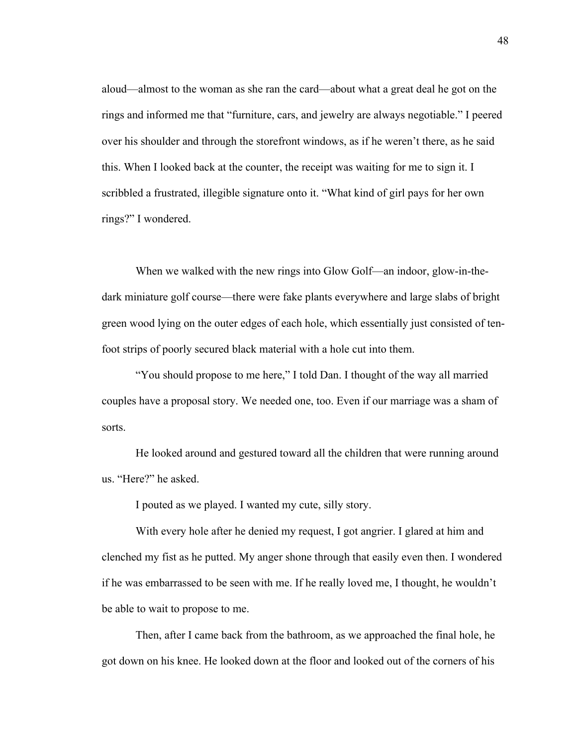aloud—almost to the woman as she ran the card—about what a great deal he got on the rings and informed me that "furniture, cars, and jewelry are always negotiable." I peered over his shoulder and through the storefront windows, as if he weren't there, as he said this. When I looked back at the counter, the receipt was waiting for me to sign it. I scribbled a frustrated, illegible signature onto it. "What kind of girl pays for her own rings?" I wondered.

When we walked with the new rings into Glow Golf—an indoor, glow-in-thedark miniature golf course—there were fake plants everywhere and large slabs of bright green wood lying on the outer edges of each hole, which essentially just consisted of tenfoot strips of poorly secured black material with a hole cut into them.

"You should propose to me here," I told Dan. I thought of the way all married couples have a proposal story. We needed one, too. Even if our marriage was a sham of sorts.

He looked around and gestured toward all the children that were running around us. "Here?" he asked.

I pouted as we played. I wanted my cute, silly story.

With every hole after he denied my request, I got angrier. I glared at him and clenched my fist as he putted. My anger shone through that easily even then. I wondered if he was embarrassed to be seen with me. If he really loved me, I thought, he wouldn't be able to wait to propose to me.

Then, after I came back from the bathroom, as we approached the final hole, he got down on his knee. He looked down at the floor and looked out of the corners of his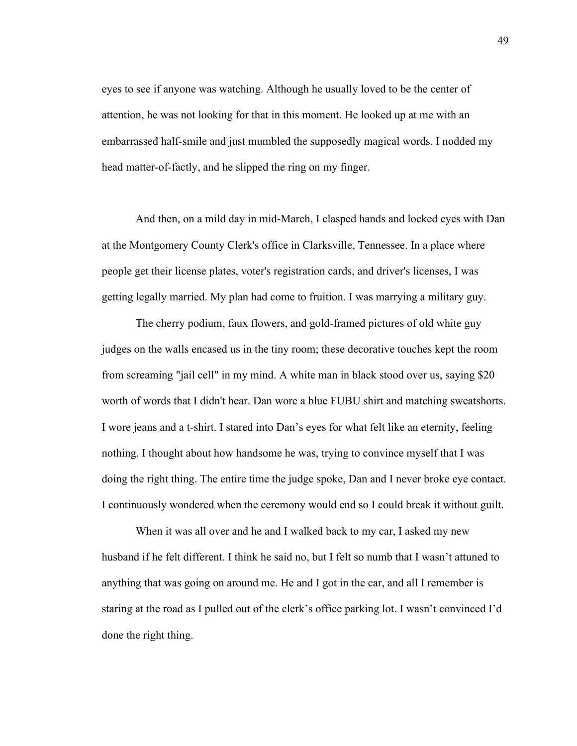eyes to see if anyone was watching. Although he usually loved to be the center of attention, he was not looking for that in this moment. He looked up at me with an embarrassed half-smile and just mumbled the supposedly magical words. I nodded my head matter-of-factly, and he slipped the ring on my finger.

And then, on a mild day in mid-March, I clasped hands and locked eyes with Dan at the Montgomery County Clerk's office in Clarksville, Tennessee. In a place where people get their license plates, voter's registration cards, and driver's licenses, I was getting legally married. My plan had come to fruition. I was marrying a military guy.

The cherry podium, faux flowers, and gold-framed pictures of old white guy judges on the walls encased us in the tiny room; these decorative touches kept the room from screaming "jail cell" in my mind. A white man in black stood over us, saying \$20 worth of words that I didn't hear. Dan wore a blue FUBU shirt and matching sweatshorts. I wore jeans and a t-shirt. I stared into Dan's eyes for what felt like an eternity, feeling nothing. I thought about how handsome he was, trying to convince myself that I was doing the right thing. The entire time the judge spoke, Dan and I never broke eye contact. I continuously wondered when the ceremony would end so I could break it without guilt.

When it was all over and he and I walked back to my car, I asked my new husband if he felt different. I think he said no, but I felt so numb that I wasn't attuned to anything that was going on around me. He and I got in the car, and all I remember is staring at the road as I pulled out of the clerk's office parking lot. I wasn't convinced I'd done the right thing.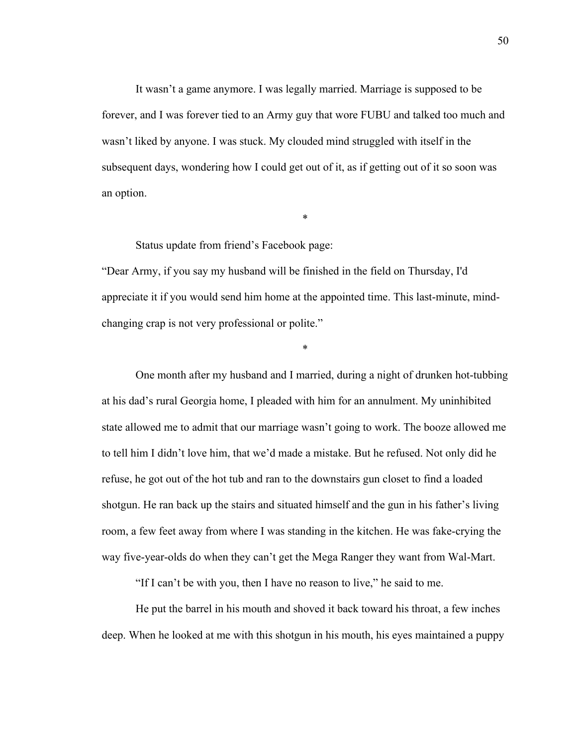It wasn't a game anymore. I was legally married. Marriage is supposed to be forever, and I was forever tied to an Army guy that wore FUBU and talked too much and wasn't liked by anyone. I was stuck. My clouded mind struggled with itself in the subsequent days, wondering how I could get out of it, as if getting out of it so soon was an option.

\*

Status update from friend's Facebook page:

"Dear Army, if you say my husband will be finished in the field on Thursday, I'd appreciate it if you would send him home at the appointed time. This last-minute, mindchanging crap is not very professional or polite."

\*

One month after my husband and I married, during a night of drunken hot-tubbing at his dad's rural Georgia home, I pleaded with him for an annulment. My uninhibited state allowed me to admit that our marriage wasn't going to work. The booze allowed me to tell him I didn't love him, that we'd made a mistake. But he refused. Not only did he refuse, he got out of the hot tub and ran to the downstairs gun closet to find a loaded shotgun. He ran back up the stairs and situated himself and the gun in his father's living room, a few feet away from where I was standing in the kitchen. He was fake-crying the way five-year-olds do when they can't get the Mega Ranger they want from Wal-Mart.

"If I can't be with you, then I have no reason to live," he said to me.

He put the barrel in his mouth and shoved it back toward his throat, a few inches deep. When he looked at me with this shotgun in his mouth, his eyes maintained a puppy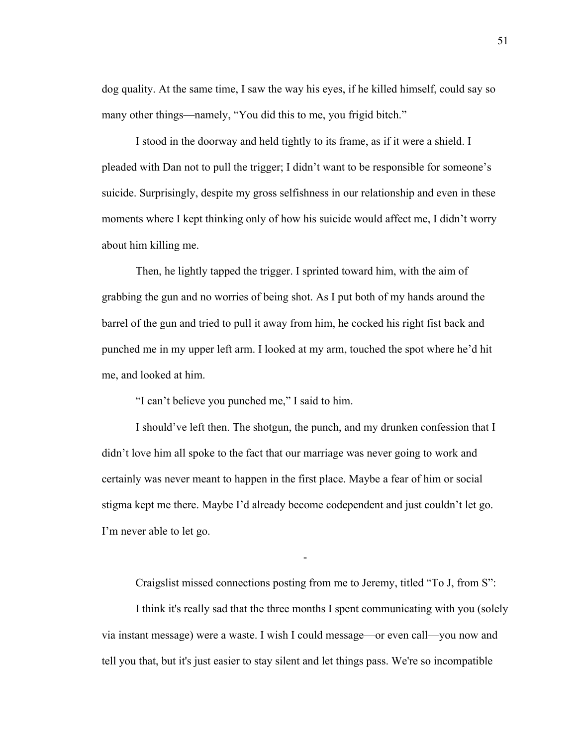dog quality. At the same time, I saw the way his eyes, if he killed himself, could say so many other things—namely, "You did this to me, you frigid bitch."

I stood in the doorway and held tightly to its frame, as if it were a shield. I pleaded with Dan not to pull the trigger; I didn't want to be responsible for someone's suicide. Surprisingly, despite my gross selfishness in our relationship and even in these moments where I kept thinking only of how his suicide would affect me, I didn't worry about him killing me.

Then, he lightly tapped the trigger. I sprinted toward him, with the aim of grabbing the gun and no worries of being shot. As I put both of my hands around the barrel of the gun and tried to pull it away from him, he cocked his right fist back and punched me in my upper left arm. I looked at my arm, touched the spot where he'd hit me, and looked at him.

"I can't believe you punched me," I said to him.

I should've left then. The shotgun, the punch, and my drunken confession that I didn't love him all spoke to the fact that our marriage was never going to work and certainly was never meant to happen in the first place. Maybe a fear of him or social stigma kept me there. Maybe I'd already become codependent and just couldn't let go. I'm never able to let go.

Craigslist missed connections posting from me to Jeremy, titled "To J, from S":

-

I think it's really sad that the three months I spent communicating with you (solely via instant message) were a waste. I wish I could message—or even call—you now and tell you that, but it's just easier to stay silent and let things pass. We're so incompatible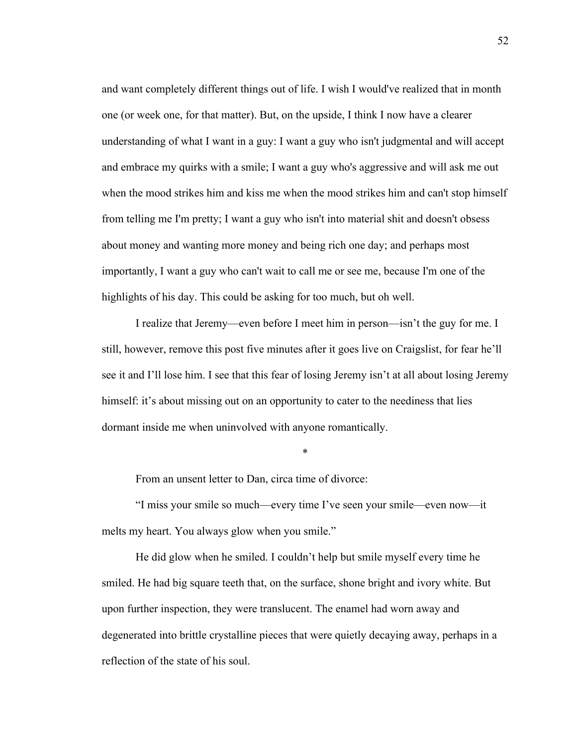and want completely different things out of life. I wish I would've realized that in month one (or week one, for that matter). But, on the upside, I think I now have a clearer understanding of what I want in a guy: I want a guy who isn't judgmental and will accept and embrace my quirks with a smile; I want a guy who's aggressive and will ask me out when the mood strikes him and kiss me when the mood strikes him and can't stop himself from telling me I'm pretty; I want a guy who isn't into material shit and doesn't obsess about money and wanting more money and being rich one day; and perhaps most importantly, I want a guy who can't wait to call me or see me, because I'm one of the highlights of his day. This could be asking for too much, but oh well.

I realize that Jeremy—even before I meet him in person—isn't the guy for me. I still, however, remove this post five minutes after it goes live on Craigslist, for fear he'll see it and I'll lose him. I see that this fear of losing Jeremy isn't at all about losing Jeremy himself: it's about missing out on an opportunity to cater to the neediness that lies dormant inside me when uninvolved with anyone romantically.

\*

From an unsent letter to Dan, circa time of divorce:

"I miss your smile so much—every time I've seen your smile—even now—it melts my heart. You always glow when you smile."

He did glow when he smiled. I couldn't help but smile myself every time he smiled. He had big square teeth that, on the surface, shone bright and ivory white. But upon further inspection, they were translucent. The enamel had worn away and degenerated into brittle crystalline pieces that were quietly decaying away, perhaps in a reflection of the state of his soul.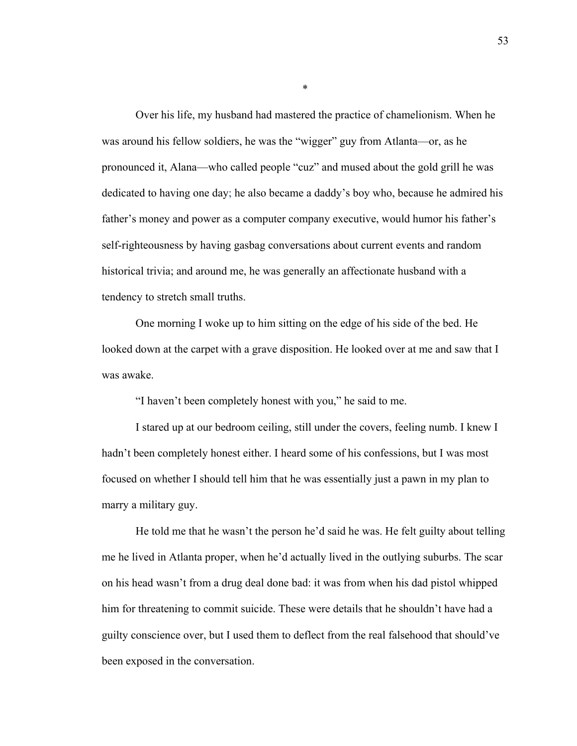Over his life, my husband had mastered the practice of chamelionism. When he was around his fellow soldiers, he was the "wigger" guy from Atlanta—or, as he pronounced it, Alana—who called people "cuz" and mused about the gold grill he was dedicated to having one day; he also became a daddy's boy who, because he admired his father's money and power as a computer company executive, would humor his father's self-righteousness by having gasbag conversations about current events and random historical trivia; and around me, he was generally an affectionate husband with a tendency to stretch small truths.

\*

One morning I woke up to him sitting on the edge of his side of the bed. He looked down at the carpet with a grave disposition. He looked over at me and saw that I was awake.

"I haven't been completely honest with you," he said to me.

I stared up at our bedroom ceiling, still under the covers, feeling numb. I knew I hadn't been completely honest either. I heard some of his confessions, but I was most focused on whether I should tell him that he was essentially just a pawn in my plan to marry a military guy.

He told me that he wasn't the person he'd said he was. He felt guilty about telling me he lived in Atlanta proper, when he'd actually lived in the outlying suburbs. The scar on his head wasn't from a drug deal done bad: it was from when his dad pistol whipped him for threatening to commit suicide. These were details that he shouldn't have had a guilty conscience over, but I used them to deflect from the real falsehood that should've been exposed in the conversation.

53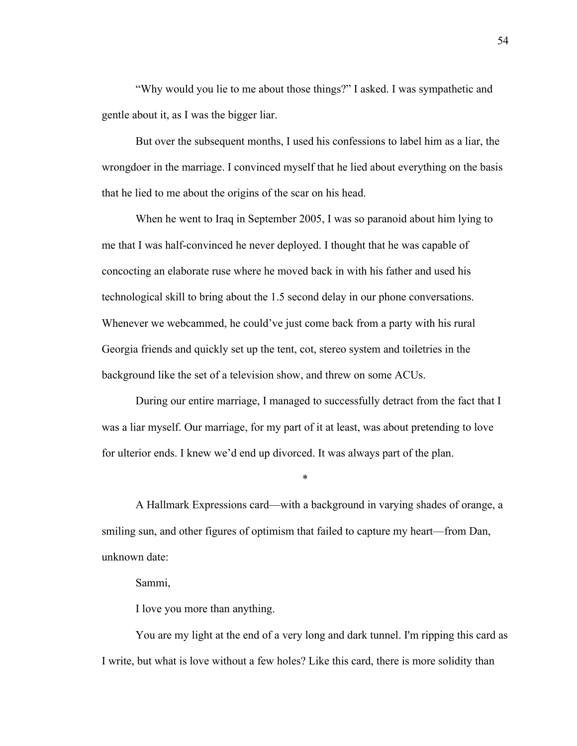"Why would you lie to me about those things?" I asked. I was sympathetic and gentle about it, as I was the bigger liar.

But over the subsequent months, I used his confessions to label him as a liar, the wrongdoer in the marriage. I convinced myself that he lied about everything on the basis that he lied to me about the origins of the scar on his head.

When he went to Iraq in September 2005, I was so paranoid about him lying to me that I was half-convinced he never deployed. I thought that he was capable of concocting an elaborate ruse where he moved back in with his father and used his technological skill to bring about the 1.5 second delay in our phone conversations. Whenever we webcammed, he could've just come back from a party with his rural Georgia friends and quickly set up the tent, cot, stereo system and toiletries in the background like the set of a television show, and threw on some ACUs.

During our entire marriage, I managed to successfully detract from the fact that I was a liar myself. Our marriage, for my part of it at least, was about pretending to love for ulterior ends. I knew we'd end up divorced. It was always part of the plan.

A Hallmark Expressions card—with a background in varying shades of orange, a smiling sun, and other figures of optimism that failed to capture my heart—from Dan, unknown date:

\*

Sammi,

I love you more than anything.

You are my light at the end of a very long and dark tunnel. I'm ripping this card as I write, but what is love without a few holes? Like this card, there is more solidity than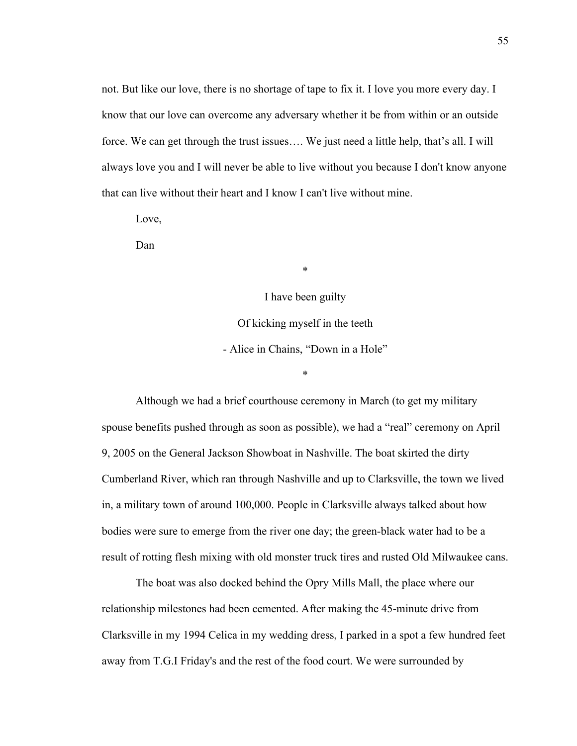not. But like our love, there is no shortage of tape to fix it. I love you more every day. I know that our love can overcome any adversary whether it be from within or an outside force. We can get through the trust issues…. We just need a little help, that's all. I will always love you and I will never be able to live without you because I don't know anyone that can live without their heart and I know I can't live without mine.

Love,

Dan

I have been guilty Of kicking myself in the teeth - Alice in Chains, "Down in a Hole"

\*

\*

Although we had a brief courthouse ceremony in March (to get my military spouse benefits pushed through as soon as possible), we had a "real" ceremony on April 9, 2005 on the General Jackson Showboat in Nashville. The boat skirted the dirty Cumberland River, which ran through Nashville and up to Clarksville, the town we lived in, a military town of around 100,000. People in Clarksville always talked about how bodies were sure to emerge from the river one day; the green-black water had to be a result of rotting flesh mixing with old monster truck tires and rusted Old Milwaukee cans.

The boat was also docked behind the Opry Mills Mall, the place where our relationship milestones had been cemented. After making the 45-minute drive from Clarksville in my 1994 Celica in my wedding dress, I parked in a spot a few hundred feet away from T.G.I Friday's and the rest of the food court. We were surrounded by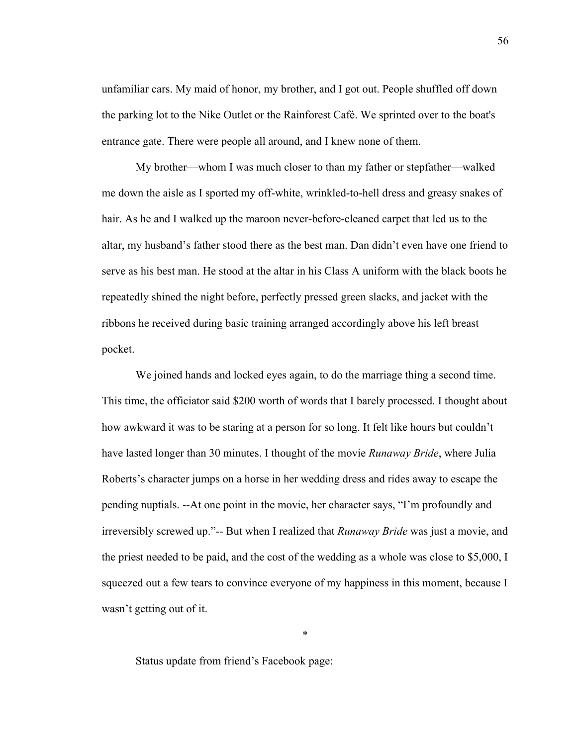unfamiliar cars. My maid of honor, my brother, and I got out. People shuffled off down the parking lot to the Nike Outlet or the Rainforest Café. We sprinted over to the boat's entrance gate. There were people all around, and I knew none of them.

My brother—whom I was much closer to than my father or stepfather—walked me down the aisle as I sported my off-white, wrinkled-to-hell dress and greasy snakes of hair. As he and I walked up the maroon never-before-cleaned carpet that led us to the altar, my husband's father stood there as the best man. Dan didn't even have one friend to serve as his best man. He stood at the altar in his Class A uniform with the black boots he repeatedly shined the night before, perfectly pressed green slacks, and jacket with the ribbons he received during basic training arranged accordingly above his left breast pocket.

We joined hands and locked eyes again, to do the marriage thing a second time. This time, the officiator said \$200 worth of words that I barely processed. I thought about how awkward it was to be staring at a person for so long. It felt like hours but couldn't have lasted longer than 30 minutes. I thought of the movie *Runaway Bride*, where Julia Roberts's character jumps on a horse in her wedding dress and rides away to escape the pending nuptials. --At one point in the movie, her character says, "I'm profoundly and irreversibly screwed up."-- But when I realized that *Runaway Bride* was just a movie, and the priest needed to be paid, and the cost of the wedding as a whole was close to \$5,000, I squeezed out a few tears to convince everyone of my happiness in this moment, because I wasn't getting out of it.

\*

Status update from friend's Facebook page: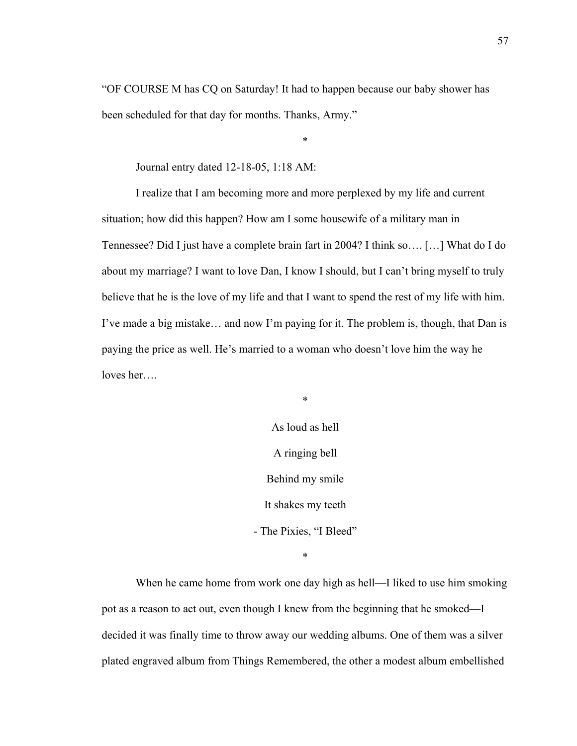"OF COURSE M has CQ on Saturday! It had to happen because our baby shower has been scheduled for that day for months. Thanks, Army."

\*

Journal entry dated 12-18-05, 1:18 AM:

I realize that I am becoming more and more perplexed by my life and current situation; how did this happen? How am I some housewife of a military man in Tennessee? Did I just have a complete brain fart in 2004? I think so…. […] What do I do about my marriage? I want to love Dan, I know I should, but I can't bring myself to truly believe that he is the love of my life and that I want to spend the rest of my life with him. I've made a big mistake… and now I'm paying for it. The problem is, though, that Dan is paying the price as well. He's married to a woman who doesn't love him the way he loves her….

> As loud as hell A ringing bell Behind my smile It shakes my teeth - The Pixies, "I Bleed"

\*

When he came home from work one day high as hell—I liked to use him smoking pot as a reason to act out, even though I knew from the beginning that he smoked—I decided it was finally time to throw away our wedding albums. One of them was a silver plated engraved album from Things Remembered, the other a modest album embellished

\*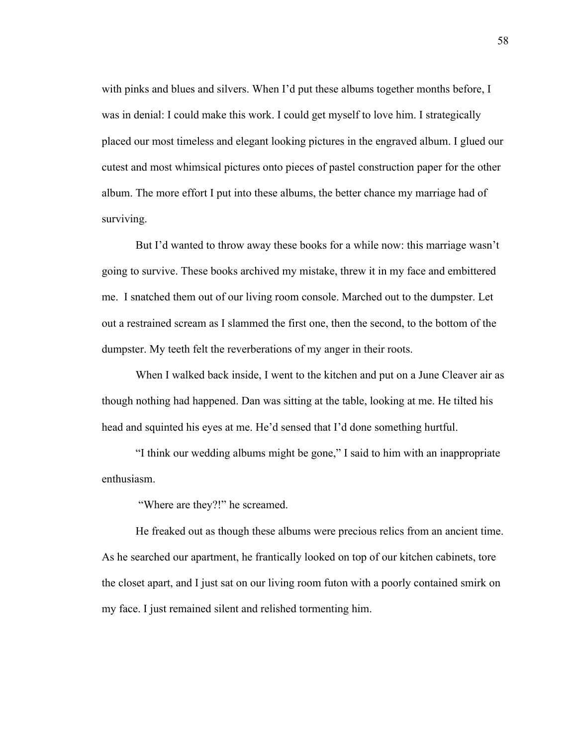with pinks and blues and silvers. When I'd put these albums together months before, I was in denial: I could make this work. I could get myself to love him. I strategically placed our most timeless and elegant looking pictures in the engraved album. I glued our cutest and most whimsical pictures onto pieces of pastel construction paper for the other album. The more effort I put into these albums, the better chance my marriage had of surviving.

But I'd wanted to throw away these books for a while now: this marriage wasn't going to survive. These books archived my mistake, threw it in my face and embittered me. I snatched them out of our living room console. Marched out to the dumpster. Let out a restrained scream as I slammed the first one, then the second, to the bottom of the dumpster. My teeth felt the reverberations of my anger in their roots.

When I walked back inside, I went to the kitchen and put on a June Cleaver air as though nothing had happened. Dan was sitting at the table, looking at me. He tilted his head and squinted his eyes at me. He'd sensed that I'd done something hurtful.

"I think our wedding albums might be gone," I said to him with an inappropriate enthusiasm.

"Where are they?!" he screamed.

He freaked out as though these albums were precious relics from an ancient time. As he searched our apartment, he frantically looked on top of our kitchen cabinets, tore the closet apart, and I just sat on our living room futon with a poorly contained smirk on my face. I just remained silent and relished tormenting him.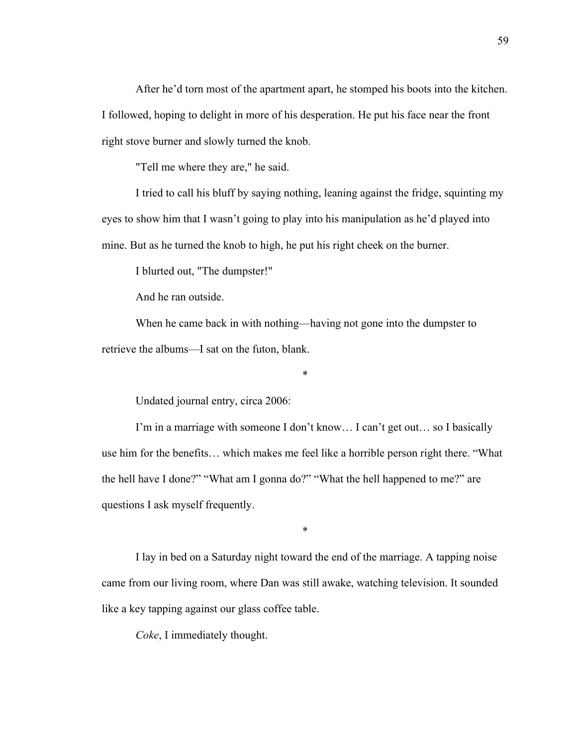After he'd torn most of the apartment apart, he stomped his boots into the kitchen. I followed, hoping to delight in more of his desperation. He put his face near the front right stove burner and slowly turned the knob.

"Tell me where they are," he said.

I tried to call his bluff by saying nothing, leaning against the fridge, squinting my eyes to show him that I wasn't going to play into his manipulation as he'd played into mine. But as he turned the knob to high, he put his right cheek on the burner.

I blurted out, "The dumpster!"

And he ran outside.

When he came back in with nothing—having not gone into the dumpster to retrieve the albums—I sat on the futon, blank.

\*

Undated journal entry, circa 2006:

I'm in a marriage with someone I don't know… I can't get out… so I basically use him for the benefits… which makes me feel like a horrible person right there. "What the hell have I done?" "What am I gonna do?" "What the hell happened to me?" are questions I ask myself frequently.

\*

I lay in bed on a Saturday night toward the end of the marriage. A tapping noise came from our living room, where Dan was still awake, watching television. It sounded like a key tapping against our glass coffee table.

*Coke*, I immediately thought.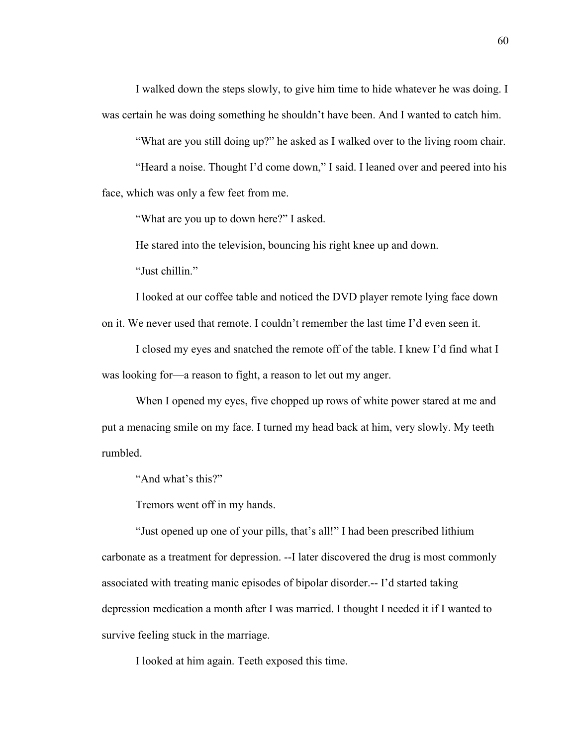I walked down the steps slowly, to give him time to hide whatever he was doing. I was certain he was doing something he shouldn't have been. And I wanted to catch him.

"What are you still doing up?" he asked as I walked over to the living room chair.

"Heard a noise. Thought I'd come down," I said. I leaned over and peered into his face, which was only a few feet from me.

"What are you up to down here?" I asked.

He stared into the television, bouncing his right knee up and down.

"Just chillin."

I looked at our coffee table and noticed the DVD player remote lying face down on it. We never used that remote. I couldn't remember the last time I'd even seen it.

I closed my eyes and snatched the remote off of the table. I knew I'd find what I was looking for—a reason to fight, a reason to let out my anger.

When I opened my eyes, five chopped up rows of white power stared at me and put a menacing smile on my face. I turned my head back at him, very slowly. My teeth rumbled.

"And what's this?"

Tremors went off in my hands.

"Just opened up one of your pills, that's all!" I had been prescribed lithium carbonate as a treatment for depression. --I later discovered the drug is most commonly associated with treating manic episodes of bipolar disorder.-- I'd started taking depression medication a month after I was married. I thought I needed it if I wanted to survive feeling stuck in the marriage.

I looked at him again. Teeth exposed this time.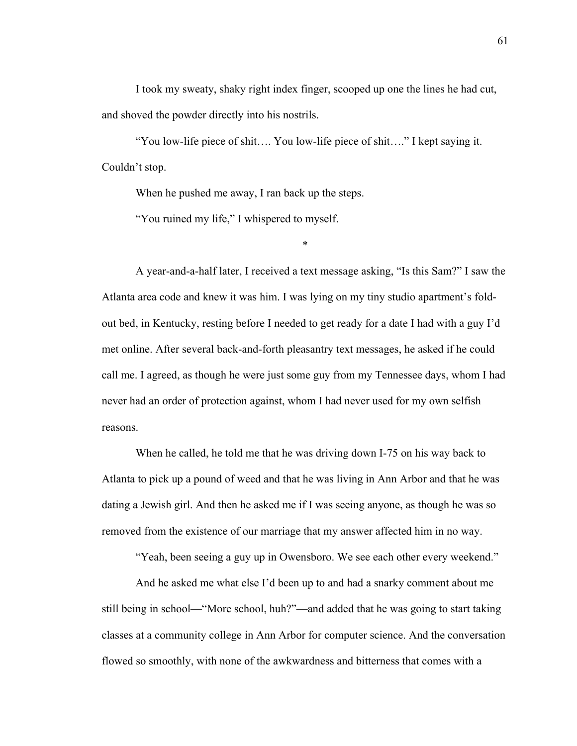I took my sweaty, shaky right index finger, scooped up one the lines he had cut, and shoved the powder directly into his nostrils.

"You low-life piece of shit…. You low-life piece of shit…." I kept saying it. Couldn't stop.

When he pushed me away, I ran back up the steps.

"You ruined my life," I whispered to myself.

A year-and-a-half later, I received a text message asking, "Is this Sam?" I saw the Atlanta area code and knew it was him. I was lying on my tiny studio apartment's foldout bed, in Kentucky, resting before I needed to get ready for a date I had with a guy I'd met online. After several back-and-forth pleasantry text messages, he asked if he could call me. I agreed, as though he were just some guy from my Tennessee days, whom I had never had an order of protection against, whom I had never used for my own selfish reasons.

\*

When he called, he told me that he was driving down I-75 on his way back to Atlanta to pick up a pound of weed and that he was living in Ann Arbor and that he was dating a Jewish girl. And then he asked me if I was seeing anyone, as though he was so removed from the existence of our marriage that my answer affected him in no way.

"Yeah, been seeing a guy up in Owensboro. We see each other every weekend."

And he asked me what else I'd been up to and had a snarky comment about me still being in school—"More school, huh?"—and added that he was going to start taking classes at a community college in Ann Arbor for computer science. And the conversation flowed so smoothly, with none of the awkwardness and bitterness that comes with a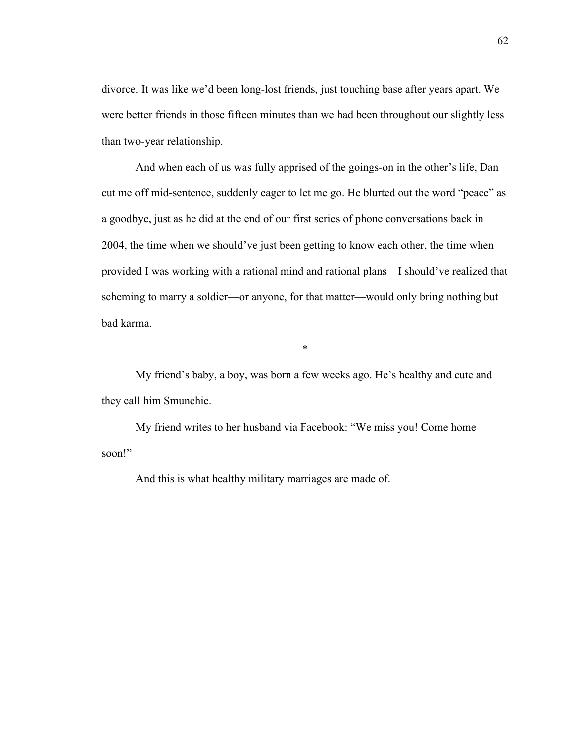divorce. It was like we'd been long-lost friends, just touching base after years apart. We were better friends in those fifteen minutes than we had been throughout our slightly less than two-year relationship.

And when each of us was fully apprised of the goings-on in the other's life, Dan cut me off mid-sentence, suddenly eager to let me go. He blurted out the word "peace" as a goodbye, just as he did at the end of our first series of phone conversations back in 2004, the time when we should've just been getting to know each other, the time when provided I was working with a rational mind and rational plans—I should've realized that scheming to marry a soldier—or anyone, for that matter—would only bring nothing but bad karma.

My friend's baby, a boy, was born a few weeks ago. He's healthy and cute and they call him Smunchie.

\*

My friend writes to her husband via Facebook: "We miss you! Come home soon!"

And this is what healthy military marriages are made of.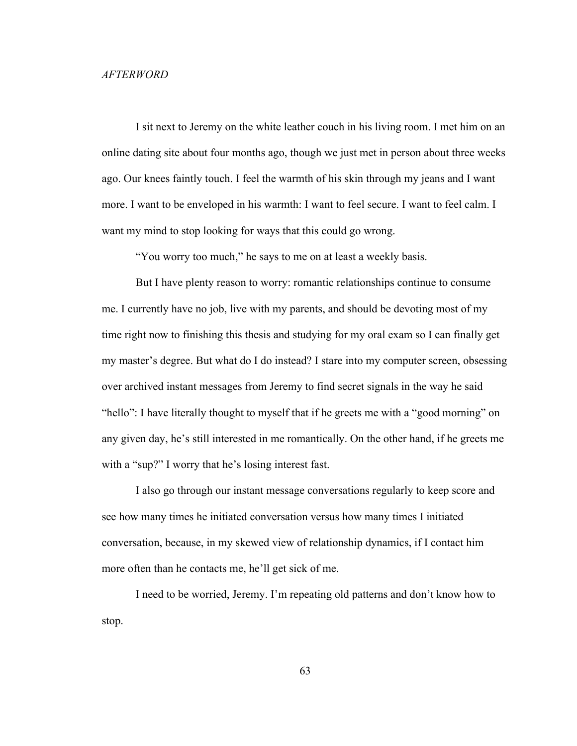#### *AFTERWORD*

I sit next to Jeremy on the white leather couch in his living room. I met him on an online dating site about four months ago, though we just met in person about three weeks ago. Our knees faintly touch. I feel the warmth of his skin through my jeans and I want more. I want to be enveloped in his warmth: I want to feel secure. I want to feel calm. I want my mind to stop looking for ways that this could go wrong.

"You worry too much," he says to me on at least a weekly basis.

But I have plenty reason to worry: romantic relationships continue to consume me. I currently have no job, live with my parents, and should be devoting most of my time right now to finishing this thesis and studying for my oral exam so I can finally get my master's degree. But what do I do instead? I stare into my computer screen, obsessing over archived instant messages from Jeremy to find secret signals in the way he said "hello": I have literally thought to myself that if he greets me with a "good morning" on any given day, he's still interested in me romantically. On the other hand, if he greets me with a "sup?" I worry that he's losing interest fast.

I also go through our instant message conversations regularly to keep score and see how many times he initiated conversation versus how many times I initiated conversation, because, in my skewed view of relationship dynamics, if I contact him more often than he contacts me, he'll get sick of me.

I need to be worried, Jeremy. I'm repeating old patterns and don't know how to stop.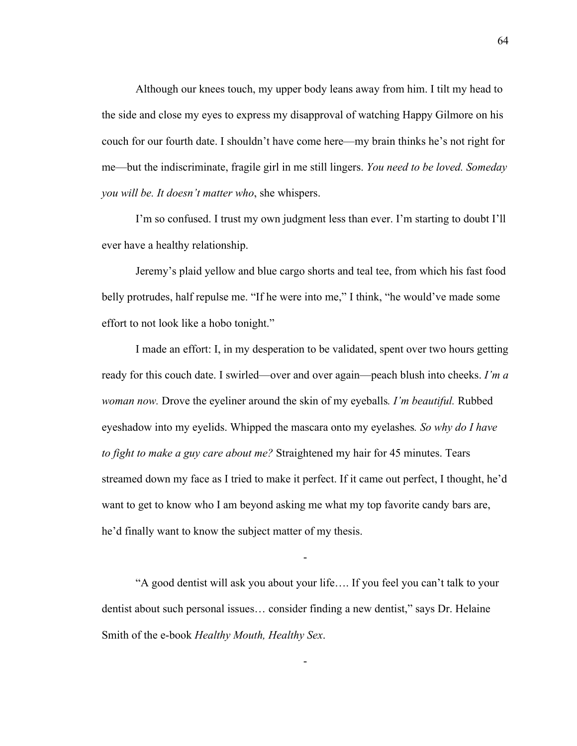Although our knees touch, my upper body leans away from him. I tilt my head to the side and close my eyes to express my disapproval of watching Happy Gilmore on his couch for our fourth date. I shouldn't have come here—my brain thinks he's not right for me—but the indiscriminate, fragile girl in me still lingers. *You need to be loved. Someday you will be. It doesn't matter who*, she whispers.

I'm so confused. I trust my own judgment less than ever. I'm starting to doubt I'll ever have a healthy relationship.

Jeremy's plaid yellow and blue cargo shorts and teal tee, from which his fast food belly protrudes, half repulse me. "If he were into me," I think, "he would've made some effort to not look like a hobo tonight."

I made an effort: I, in my desperation to be validated, spent over two hours getting ready for this couch date. I swirled—over and over again—peach blush into cheeks. *I'm a woman now.* Drove the eyeliner around the skin of my eyeballs*. I'm beautiful.* Rubbed eyeshadow into my eyelids. Whipped the mascara onto my eyelashes*. So why do I have to fight to make a guy care about me?* Straightened my hair for 45 minutes. Tears streamed down my face as I tried to make it perfect. If it came out perfect, I thought, he'd want to get to know who I am beyond asking me what my top favorite candy bars are, he'd finally want to know the subject matter of my thesis.

"A good dentist will ask you about your life…. If you feel you can't talk to your dentist about such personal issues… consider finding a new dentist," says Dr. Helaine Smith of the e-book *Healthy Mouth, Healthy Sex*.

-

-